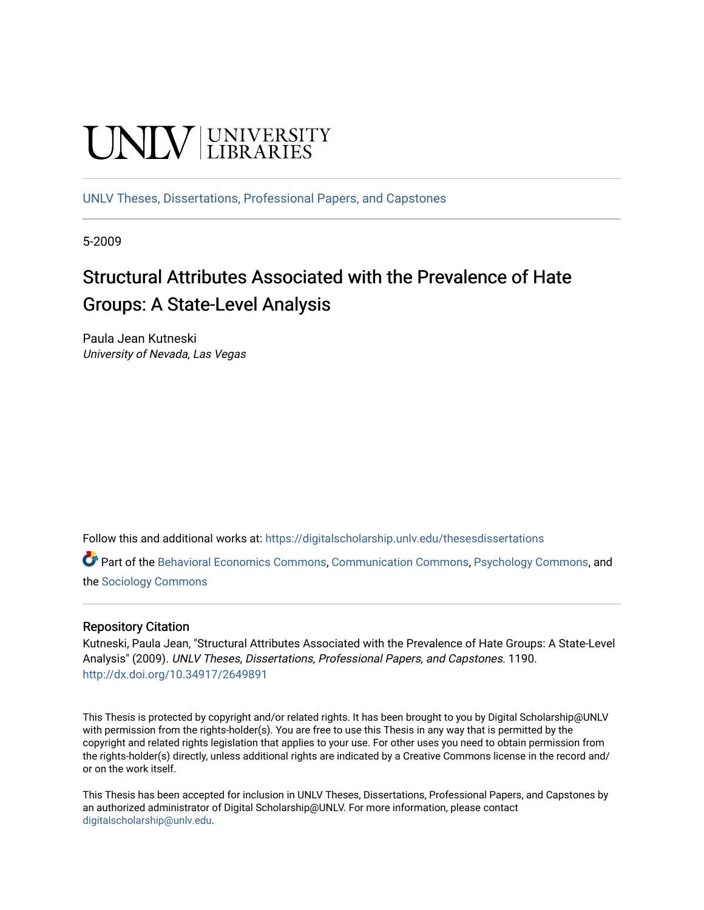# **UNIVERSITY**

[UNLV Theses, Dissertations, Professional Papers, and Capstones](https://digitalscholarship.unlv.edu/thesesdissertations)

5-2009

# Structural Attributes Associated with the Prevalence of Hate Groups: A State-Level Analysis

Paula Jean Kutneski University of Nevada, Las Vegas

Follow this and additional works at: [https://digitalscholarship.unlv.edu/thesesdissertations](https://digitalscholarship.unlv.edu/thesesdissertations?utm_source=digitalscholarship.unlv.edu%2Fthesesdissertations%2F1190&utm_medium=PDF&utm_campaign=PDFCoverPages)

Part of the [Behavioral Economics Commons](http://network.bepress.com/hgg/discipline/341?utm_source=digitalscholarship.unlv.edu%2Fthesesdissertations%2F1190&utm_medium=PDF&utm_campaign=PDFCoverPages), [Communication Commons,](http://network.bepress.com/hgg/discipline/325?utm_source=digitalscholarship.unlv.edu%2Fthesesdissertations%2F1190&utm_medium=PDF&utm_campaign=PDFCoverPages) [Psychology Commons,](http://network.bepress.com/hgg/discipline/404?utm_source=digitalscholarship.unlv.edu%2Fthesesdissertations%2F1190&utm_medium=PDF&utm_campaign=PDFCoverPages) and the [Sociology Commons](http://network.bepress.com/hgg/discipline/416?utm_source=digitalscholarship.unlv.edu%2Fthesesdissertations%2F1190&utm_medium=PDF&utm_campaign=PDFCoverPages) 

#### Repository Citation

Kutneski, Paula Jean, "Structural Attributes Associated with the Prevalence of Hate Groups: A State-Level Analysis" (2009). UNLV Theses, Dissertations, Professional Papers, and Capstones. 1190. <http://dx.doi.org/10.34917/2649891>

This Thesis is protected by copyright and/or related rights. It has been brought to you by Digital Scholarship@UNLV with permission from the rights-holder(s). You are free to use this Thesis in any way that is permitted by the copyright and related rights legislation that applies to your use. For other uses you need to obtain permission from the rights-holder(s) directly, unless additional rights are indicated by a Creative Commons license in the record and/ or on the work itself.

This Thesis has been accepted for inclusion in UNLV Theses, Dissertations, Professional Papers, and Capstones by an authorized administrator of Digital Scholarship@UNLV. For more information, please contact [digitalscholarship@unlv.edu](mailto:digitalscholarship@unlv.edu).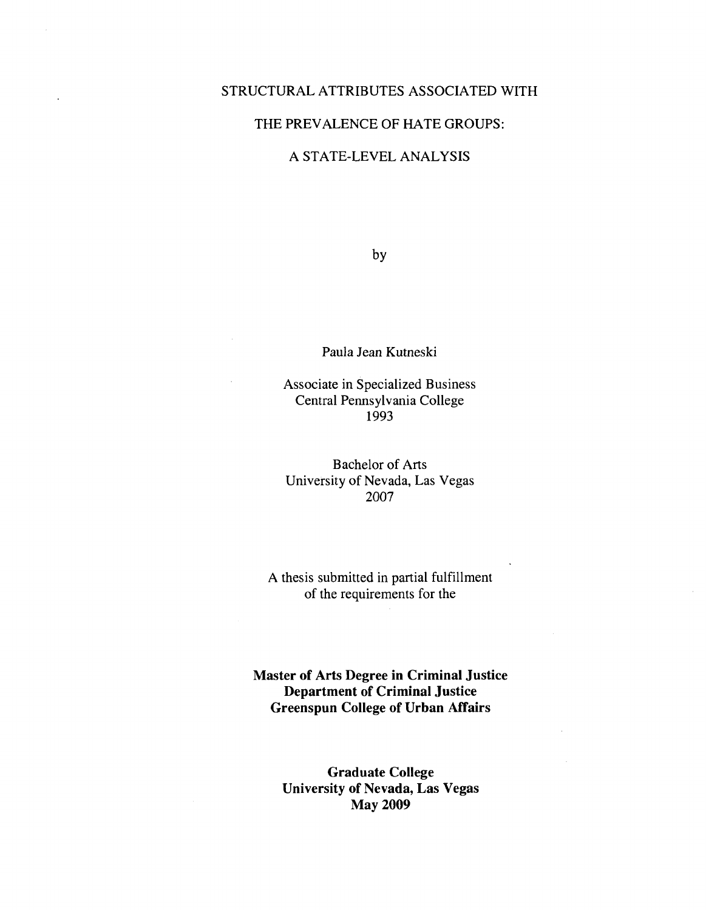#### STRUCTURAL ATTRIBUTES ASSOCIATED WITH

#### THE PREVALENCE OF HATE GROUPS:

#### A STATE-LEVEL ANALYSIS

by

Paula Jean Kutneski

Associate in Specialized Business Central Pennsylvania College 1993

Bachelor of Arts University of Nevada, Las Vegas 2007

A thesis submitted in partial fulfillment of the requirements for the

**Master of Arts Degree in Criminal Justice Department of Criminal Justice Greenspun College of Urban Affairs** 

> **Graduate College University of Nevada, Las Vegas May 2009**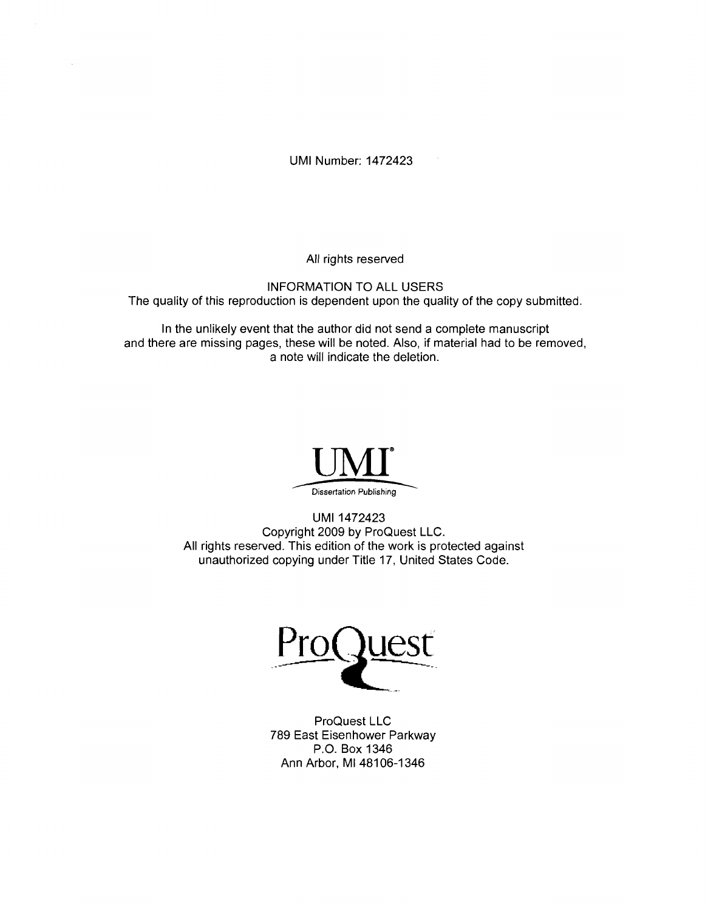UMI Number: 1472423

All rights reserved

INFORMATION TO ALL USERS The quality of this reproduction is dependent upon the quality of the copy submitted.

In the unlikely event that the author did not send a complete manuscript and there are missing pages, these will be noted. Also, if material had to be removed, a note will indicate the deletion.



UMI 1472423 Copyright 2009 by ProQuest LLC. All rights reserved. This edition of the work is protected against unauthorized copying under Title 17, United States Code.



ProQuest LLC 789 East Eisenhower Parkway P.O. Box 1346 Ann Arbor, Ml 48106-1346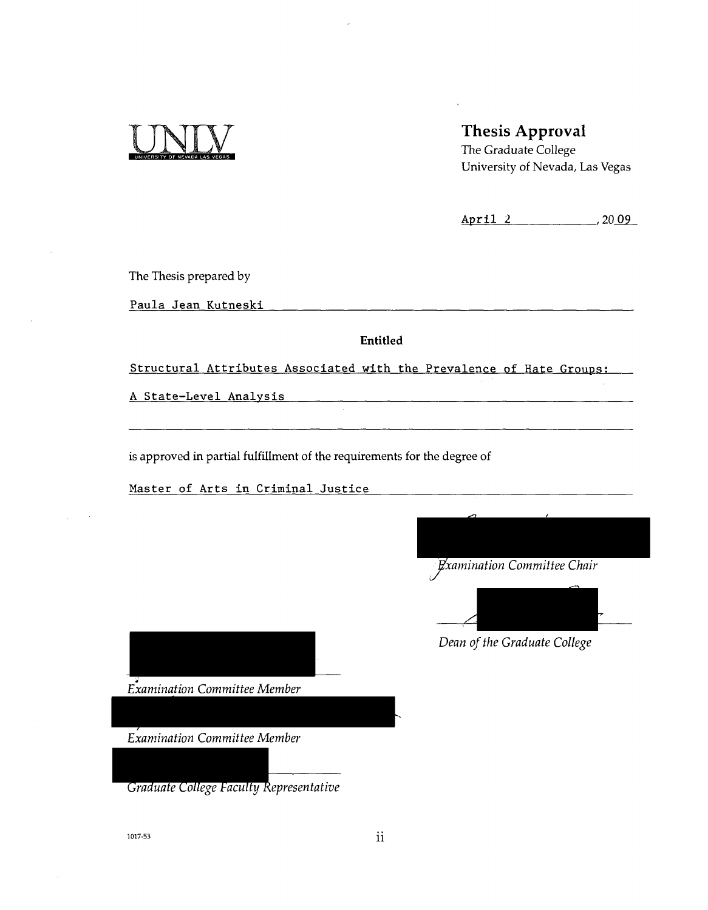

# Thesis Approval

The Graduate College University of Nevada, Las Vegas

April 2 2009

The Thesis prepared by

Paula Jean Kutneski

Entitled

Structural Attributes Associated with the Prevalence of Hate Groups:

A State-Level Analysis

is approved in partial fulfillment of the requirements for the degree of

Master of Arts in Criminal Justice

*Examination Committee Chair* 



*Dean of the Graduate College* 

*Examination Committee Member* 

*Examination Committee Member* 

*Graduate College Faculty Representative* 

1017-53 **ii**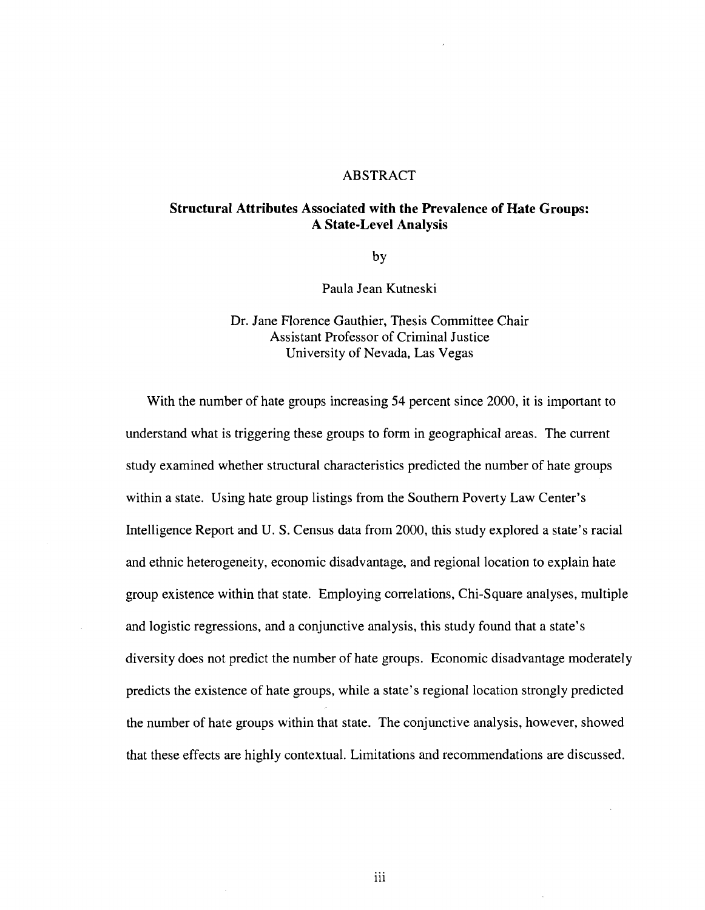#### ABSTRACT

# **Structural Attributes Associated with the Prevalence of Hate Groups:**

by

Paula Jean Kutneski

Dr. Jane Florence Gauthier, Thesis Committee Chair Assistant Professor of Criminal Justice University of Nevada, Las Vegas

With the number of hate groups increasing 54 percent since 2000, it is important to understand what is triggering these groups to form in geographical areas. The current study examined whether structural characteristics predicted the number of hate groups within a state. Using hate group listings from the Southern Poverty Law Center's Intelligence Report and U. S. Census data from 2000, this study explored a state's racial and ethnic heterogeneity, economic disadvantage, and regional location to explain hate group existence within that state. Employing correlations, Chi-Square analyses, multiple and logistic regressions, and a conjunctive analysis, this study found that a state's diversity does not predict the number of hate groups. Economic disadvantage moderately predicts the existence of hate groups, while a state's regional location strongly predicted the number of hate groups within that state. The conjunctive analysis, however, showed that these effects are highly contextual. Limitations and recommendations are discussed.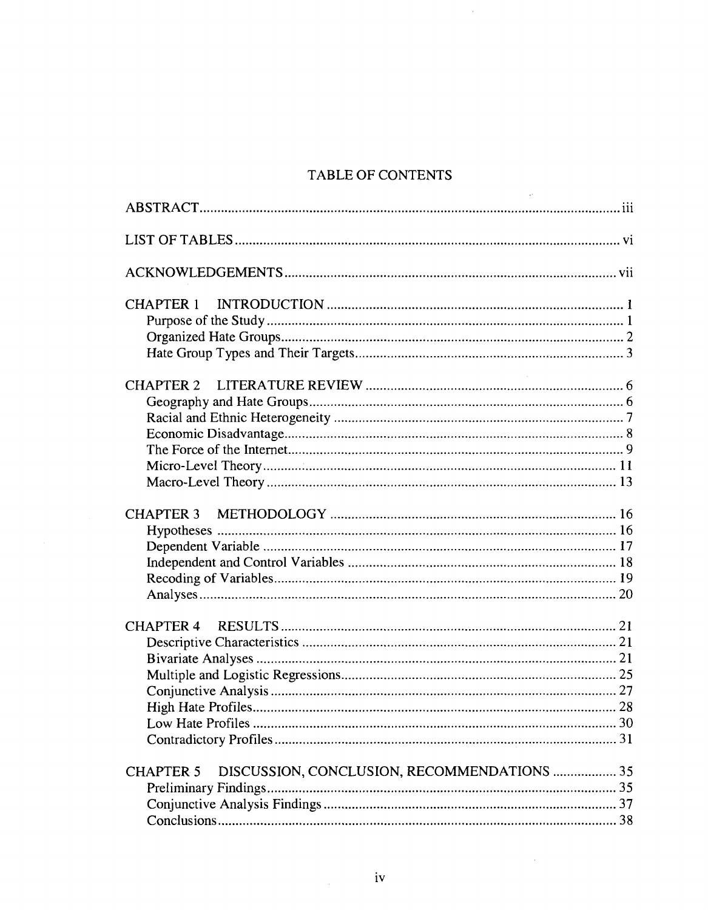# TABLE OF CONTENTS

 $\mathcal{A}$ 

| <b>CHAPTER 1</b>                                                                        |
|-----------------------------------------------------------------------------------------|
|                                                                                         |
| <b>CHAPTER 3</b>                                                                        |
| <b>CHAPTER 4</b>                                                                        |
| DISCUSSION, CONCLUSION, RECOMMENDATIONS  35<br><b>CHAPTER 5</b><br>Preliminary Findings |

 $\sim 10^{-1}$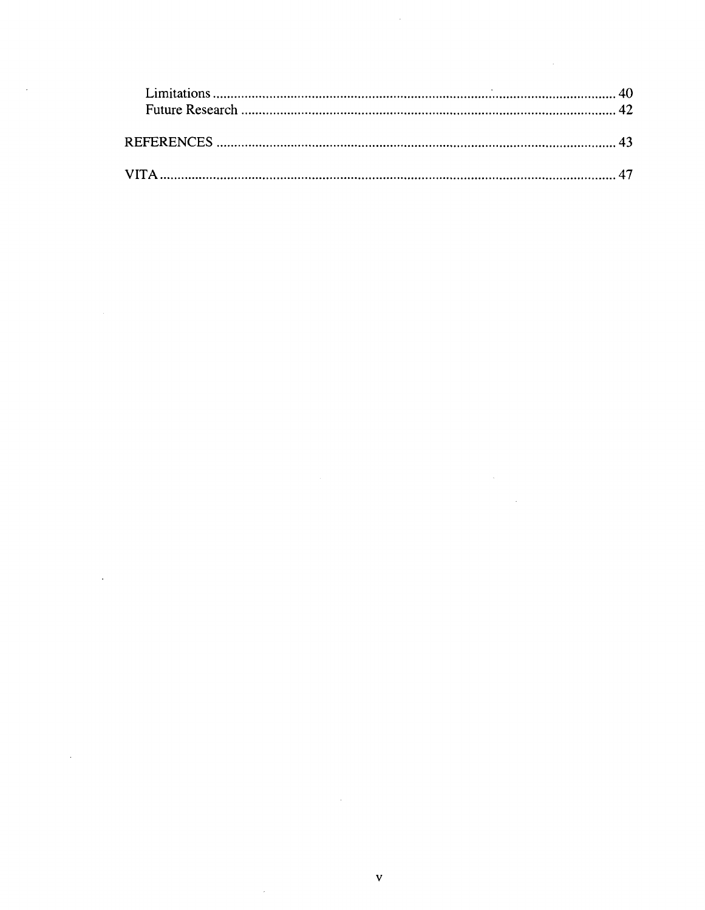$\label{eq:2.1} \mathcal{L}(\mathcal{L}^{\text{max}}_{\mathcal{L}}(\mathcal{L}^{\text{max}}_{\mathcal{L}})) \leq \mathcal{L}(\mathcal{L}^{\text{max}}_{\mathcal{L}}(\mathcal{L}^{\text{max}}_{\mathcal{L}}))$ 

 $\label{eq:2.1} \frac{1}{\sqrt{2}}\int_{\mathbb{R}^3} \frac{d\mu}{\mu} \left( \frac{d\mu}{\mu} \right)^2 \frac{d\mu}{\mu} \left( \frac{d\mu}{\mu} \right)^2 \frac{d\mu}{\mu} \left( \frac{d\mu}{\mu} \right)^2 \frac{d\mu}{\mu} \left( \frac{d\mu}{\mu} \right)^2 \frac{d\mu}{\mu} \left( \frac{d\mu}{\mu} \right)^2 \frac{d\mu}{\mu} \left( \frac{d\mu}{\mu} \right)^2 \frac{d\mu}{\mu} \left( \frac{d\mu}{\mu} \right)^2$ 

 $\label{eq:2.1} \frac{1}{\sqrt{2}}\left(\frac{1}{\sqrt{2}}\right)^{2} \left(\frac{1}{\sqrt{2}}\right)^{2} \left(\frac{1}{\sqrt{2}}\right)^{2} \left(\frac{1}{\sqrt{2}}\right)^{2} \left(\frac{1}{\sqrt{2}}\right)^{2} \left(\frac{1}{\sqrt{2}}\right)^{2} \left(\frac{1}{\sqrt{2}}\right)^{2} \left(\frac{1}{\sqrt{2}}\right)^{2} \left(\frac{1}{\sqrt{2}}\right)^{2} \left(\frac{1}{\sqrt{2}}\right)^{2} \left(\frac{1}{\sqrt{2}}\right)^{2} \left(\$ 

 $\label{eq:2.1} \frac{1}{\sqrt{2}}\left(\frac{1}{\sqrt{2}}\right)^{2} \left(\frac{1}{\sqrt{2}}\right)^{2} \left(\frac{1}{\sqrt{2}}\right)^{2} \left(\frac{1}{\sqrt{2}}\right)^{2} \left(\frac{1}{\sqrt{2}}\right)^{2} \left(\frac{1}{\sqrt{2}}\right)^{2} \left(\frac{1}{\sqrt{2}}\right)^{2} \left(\frac{1}{\sqrt{2}}\right)^{2} \left(\frac{1}{\sqrt{2}}\right)^{2} \left(\frac{1}{\sqrt{2}}\right)^{2} \left(\frac{1}{\sqrt{2}}\right)^{2} \left(\$ 

 $\label{eq:2} \frac{1}{\sqrt{2}}\left(\frac{1}{\sqrt{2}}\right)^{2} \left(\frac{1}{\sqrt{2}}\right)^{2} \left(\frac{1}{\sqrt{2}}\right)^{2} \left(\frac{1}{\sqrt{2}}\right)^{2} \left(\frac{1}{\sqrt{2}}\right)^{2} \left(\frac{1}{\sqrt{2}}\right)^{2} \left(\frac{1}{\sqrt{2}}\right)^{2} \left(\frac{1}{\sqrt{2}}\right)^{2} \left(\frac{1}{\sqrt{2}}\right)^{2} \left(\frac{1}{\sqrt{2}}\right)^{2} \left(\frac{1}{\sqrt{2}}\right)^{2} \left(\frac{$ 

 $\label{eq:2.1} \frac{1}{2} \sum_{i=1}^n \frac{1}{2} \sum_{j=1}^n \frac{1}{2} \sum_{j=1}^n \frac{1}{2} \sum_{j=1}^n \frac{1}{2} \sum_{j=1}^n \frac{1}{2} \sum_{j=1}^n \frac{1}{2} \sum_{j=1}^n \frac{1}{2} \sum_{j=1}^n \frac{1}{2} \sum_{j=1}^n \frac{1}{2} \sum_{j=1}^n \frac{1}{2} \sum_{j=1}^n \frac{1}{2} \sum_{j=1}^n \frac{1}{2} \sum_{j=1}^n \frac{$ 

 $\label{eq:2.1} \frac{1}{\sqrt{2}}\left(\frac{1}{\sqrt{2}}\right)^{2} \left(\frac{1}{\sqrt{2}}\right)^{2} \left(\frac{1}{\sqrt{2}}\right)^{2} \left(\frac{1}{\sqrt{2}}\right)^{2} \left(\frac{1}{\sqrt{2}}\right)^{2} \left(\frac{1}{\sqrt{2}}\right)^{2} \left(\frac{1}{\sqrt{2}}\right)^{2} \left(\frac{1}{\sqrt{2}}\right)^{2} \left(\frac{1}{\sqrt{2}}\right)^{2} \left(\frac{1}{\sqrt{2}}\right)^{2} \left(\frac{1}{\sqrt{2}}\right)^{2} \left(\$ 

 $\label{eq:2} \frac{1}{\sqrt{2}}\left(\frac{1}{\sqrt{2}}\right)^{2} \left(\frac{1}{\sqrt{2}}\right)^{2} \left(\frac{1}{\sqrt{2}}\right)^{2}$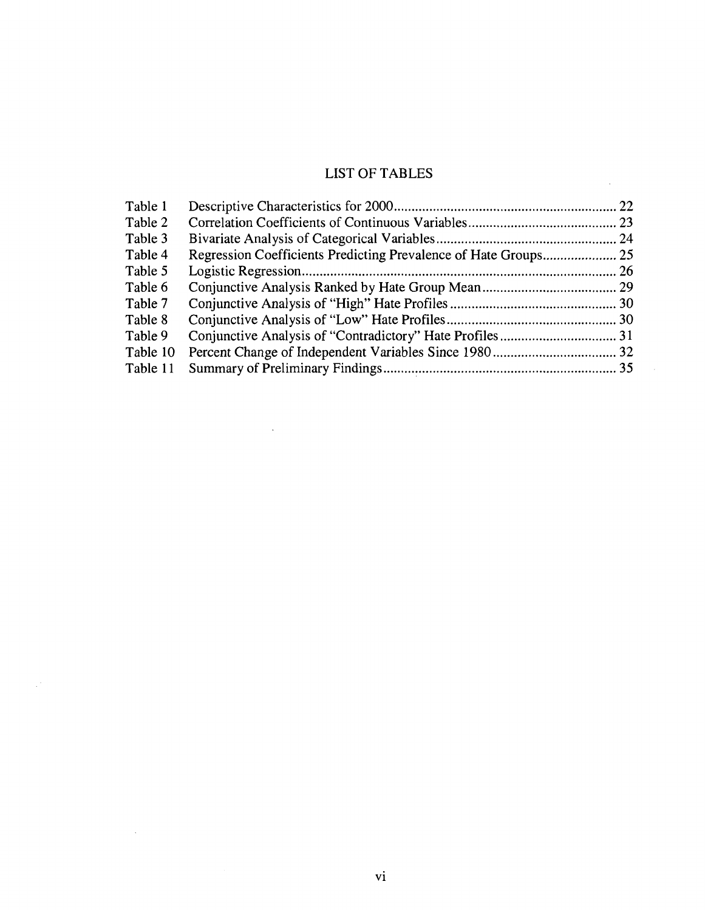# LIST OF TABLES

 $\bar{\mathcal{A}}$ 

 $\bar{z}$ 

| Table 1  |  |
|----------|--|
| Table 2  |  |
| Table 3  |  |
| Table 4  |  |
| Table 5  |  |
| Table 6  |  |
| Table 7  |  |
| Table 8  |  |
| Table 9  |  |
| Table 10 |  |
| Table 11 |  |
|          |  |

 $\bar{\lambda}$ 

 $\hat{\mathcal{L}}$ 

 $\mathcal{A}$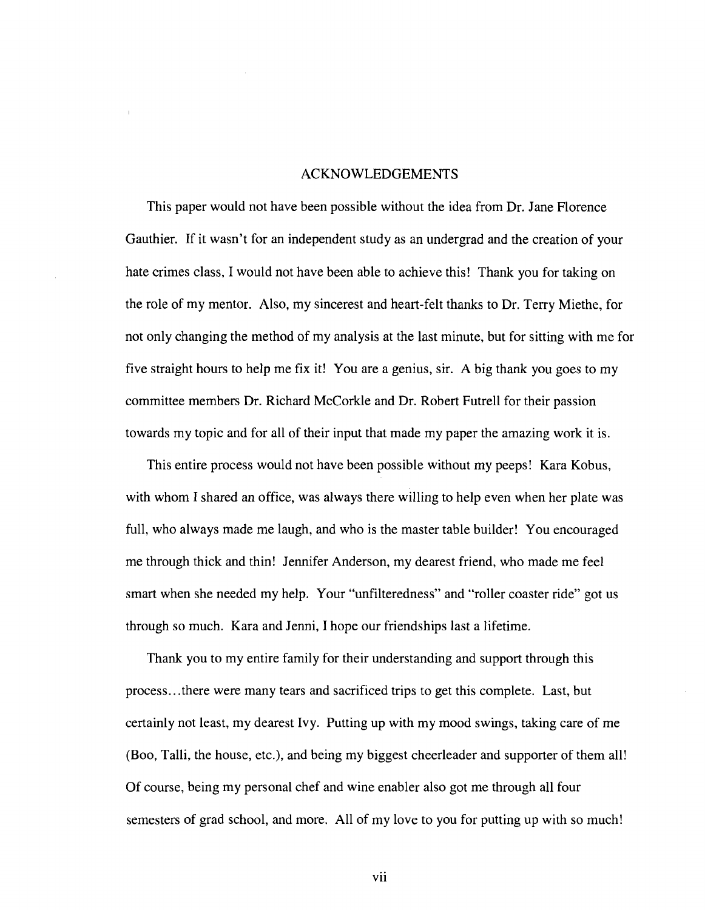#### ACKNOWLEDGEMENTS

This paper would not have been possible without the idea from Dr. Jane Florence Gauthier. If it wasn't for an independent study as an undergrad and the creation of your hate crimes class, I would not have been able to achieve this! Thank you for taking on the role of my mentor. Also, my sincerest and heart-felt thanks to Dr. Terry Miethe, for not only changing the method of my analysis at the last minute, but for sitting with me for five straight hours to help me fix it! You are a genius, sir. A big thank you goes to my committee members Dr. Richard McCorkle and Dr. Robert Futrell for their passion towards my topic and for all of their input that made my paper the amazing work it is.

This entire process would not have been possible without my peeps! Kara Kobus, with whom I shared an office, was always there willing to help even when her plate was full, who always made me laugh, and who is the master table builder! You encouraged me through thick and thin! Jennifer Anderson, my dearest friend, who made me feel smart when she needed my help. Your "unfilteredness" and "roller coaster ride" got us through so much. Kara and Jenni, I hope our friendships last a lifetime.

Thank you to my entire family for their understanding and support through this process...there were many tears and sacrificed trips to get this complete. Last, but certainly not least, my dearest Ivy. Putting up with my mood swings, taking care of me (Boo, Talli, the house, etc.), and being my biggest cheerleader and supporter of them all! Of course, being my personal chef and wine enabler also got me through all four semesters of grad school, and more. All of my love to you for putting up with so much!

vii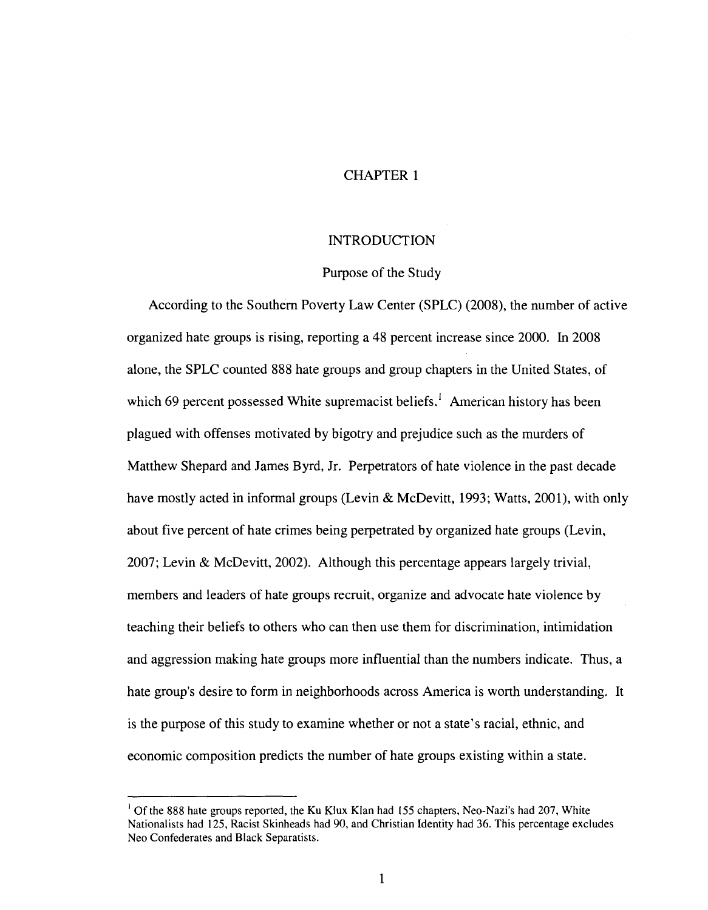#### CHAPTER 1

#### INTRODUCTION

#### Purpose of the Study

According to the Southern Poverty Law Center (SPLC) (2008), the number of active organized hate groups is rising, reporting a 48 percent increase since 2000. In 2008 alone, the SPLC counted 888 hate groups and group chapters in the United States, of which 69 percent possessed White supremacist beliefs.<sup>1</sup> American history has been plagued with offenses motivated by bigotry and prejudice such as the murders of Matthew Shepard and James Byrd, Jr. Perpetrators of hate violence in the past decade have mostly acted in informal groups (Levin & McDevitt, 1993; Watts, 2001), with only about five percent of hate crimes being perpetrated by organized hate groups (Levin, 2007; Levin & McDevitt, 2002). Although this percentage appears largely trivial, members and leaders of hate groups recruit, organize and advocate hate violence by teaching their beliefs to others who can then use them for discrimination, intimidation and aggression making hate groups more influential than the numbers indicate. Thus, a hate group's desire to form in neighborhoods across America is worth understanding. It is the purpose of this study to examine whether or not a state's racial, ethnic, and economic composition predicts the number of hate groups existing within a state.

<sup>&</sup>lt;sup>1</sup> Of the 888 hate groups reported, the Ku Klux Klan had 155 chapters, Neo-Nazi's had 207, White Nationalists had 125, Racist Skinheads had 90, and Christian Identity had 36. This percentage excludes Neo Confederates and Black Separatists.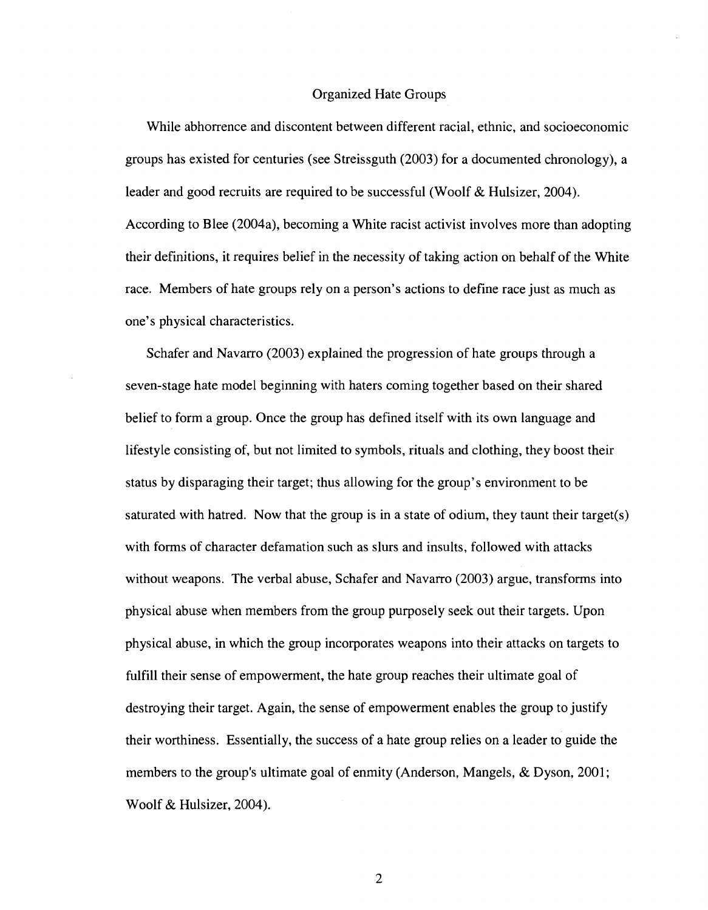#### Organized Hate Groups

While abhorrence and discontent between different racial, ethnic, and socioeconomic groups has existed for centuries (see Streissguth (2003) for a documented chronology), a leader and good recruits are required to be successful (Woolf & Hulsizer, 2004). According to Blee (2004a), becoming a White racist activist involves more than adopting their definitions, it requires belief in the necessity of taking action on behalf of the White race. Members of hate groups rely on a person's actions to define race just as much as one's physical characteristics.

Schafer and Navarro (2003) explained the progression of hate groups through a seven-stage hate model beginning with haters coming together based on their shared belief to form a group. Once the group has defined itself with its own language and lifestyle consisting of, but not limited to symbols, rituals and clothing, they boost their status by disparaging their target; thus allowing for the group's environment to be saturated with hatred. Now that the group is in a state of odium, they taunt their target(s) with forms of character defamation such as slurs and insults, followed with attacks without weapons. The verbal abuse, Schafer and Navarro (2003) argue, transforms into physical abuse when members from the group purposely seek out their targets. Upon physical abuse, in which the group incorporates weapons into their attacks on targets to fulfill their sense of empowerment, the hate group reaches their ultimate goal of destroying their target. Again, the sense of empowerment enables the group to justify their worthiness. Essentially, the success of a hate group relies on a leader to guide the members to the group's ultimate goal of enmity (Anderson, Mangels, & Dyson, 2001; Woolf & Hulsizer, 2004).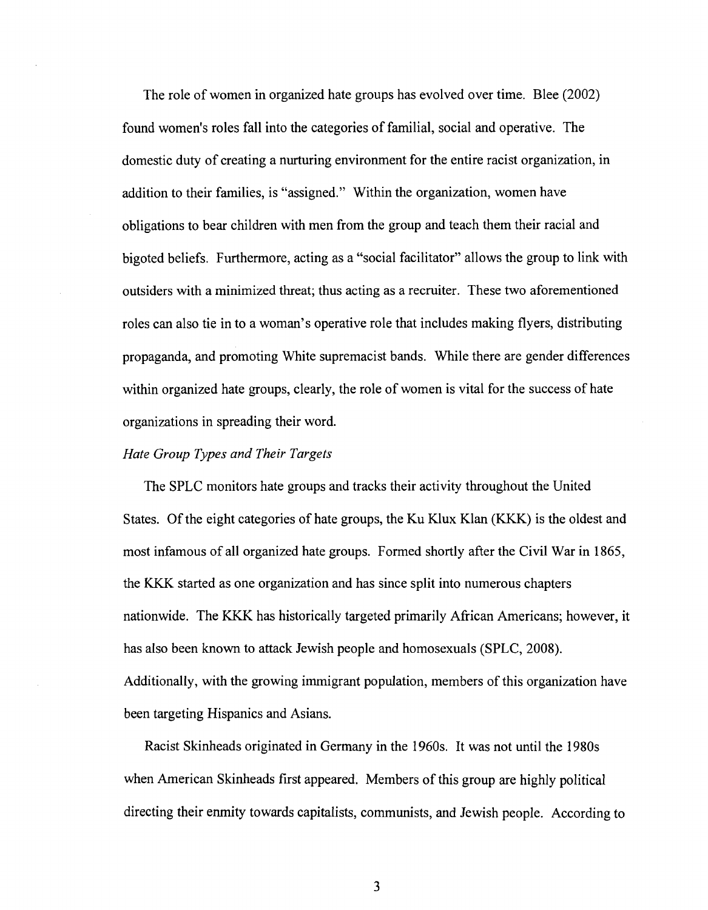The role of women in organized hate groups has evolved over time. Blee (2002) found women's roles fall into the categories of familial, social and operative. The domestic duty of creating a nurturing environment for the entire racist organization, in addition to their families, is "assigned." Within the organization, women have obligations to bear children with men from the group and teach them their racial and bigoted beliefs. Furthermore, acting as a "social facilitator" allows the group to link with outsiders with a minimized threat; thus acting as a recruiter. These two aforementioned roles can also tie in to a woman's operative role that includes making flyers, distributing propaganda, and promoting White supremacist bands. While there are gender differences within organized hate groups, clearly, the role of women is vital for the success of hate organizations in spreading their word.

#### *Hate Group Types and Their Targets*

The SPLC monitors hate groups and tracks their activity throughout the United States. Of the eight categories of hate groups, the Ku Klux Klan (KKK) is the oldest and most infamous of all organized hate groups. Formed shortly after the Civil War in 1865, the KKK started as one organization and has since split into numerous chapters nationwide. The KKK has historically targeted primarily African Americans; however, it has also been known to attack Jewish people and homosexuals (SPLC, 2008). Additionally, with the growing immigrant population, members of this organization have been targeting Hispanics and Asians.

Racist Skinheads originated in Germany in the 1960s. It was not until the 1980s when American Skinheads first appeared. Members of this group are highly political directing their enmity towards capitalists, communists, and Jewish people. According to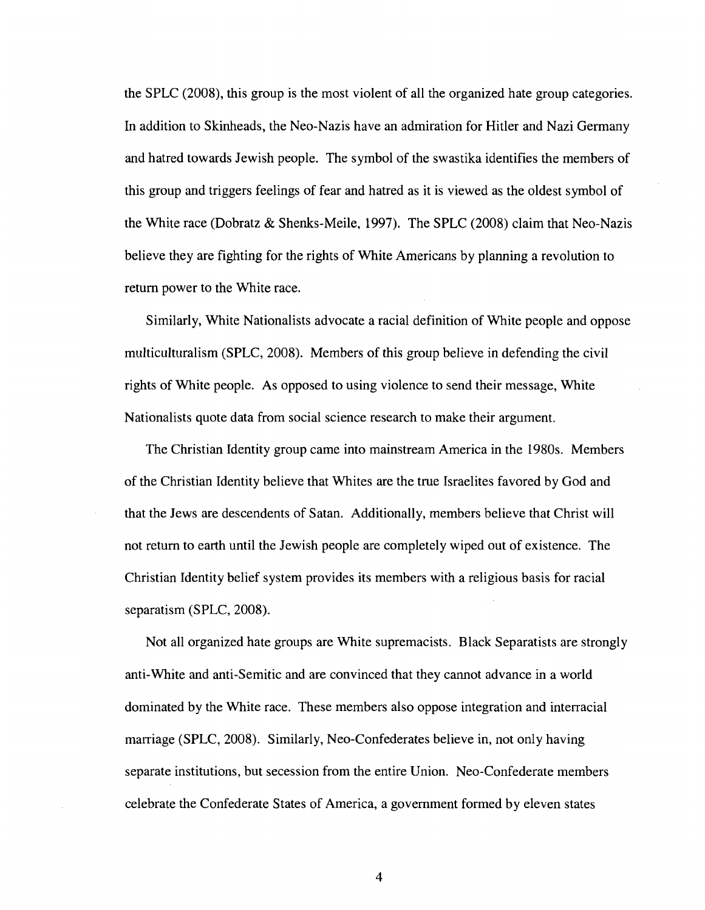the SPLC (2008), this group is the most violent of all the organized hate group categories. In addition to Skinheads, the Neo-Nazis have an admiration for Hitler and Nazi Germany and hatred towards Jewish people. The symbol of the swastika identifies the members of this group and triggers feelings of fear and hatred as it is viewed as the oldest symbol of the White race (Dobratz & Shenks-Meile, 1997). The SPLC (2008) claim that Neo-Nazis believe they are fighting for the rights of White Americans by planning a revolution to return power to the White race.

Similarly, White Nationalists advocate a racial definition of White people and oppose multiculturalism (SPLC, 2008). Members of this group believe in defending the civil rights of White people. As opposed to using violence to send their message, White Nationalists quote data from social science research to make their argument.

The Christian Identity group came into mainstream America in the 1980s. Members of the Christian Identity believe that Whites are the true Israelites favored by God and that the Jews are descendents of Satan. Additionally, members believe that Christ will not return to earth until the Jewish people are completely wiped out of existence. The Christian Identity belief system provides its members with a religious basis for racial separatism (SPLC, 2008).

Not all organized hate groups are White supremacists. Black Separatists are strongly anti-White and anti-Semitic and are convinced that they cannot advance in a world dominated by the White race. These members also oppose integration and interracial marriage (SPLC, 2008). Similarly, Neo-Confederates believe in, not only having separate institutions, but secession from the entire Union. Neo-Confederate members celebrate the Confederate States of America, a government formed by eleven states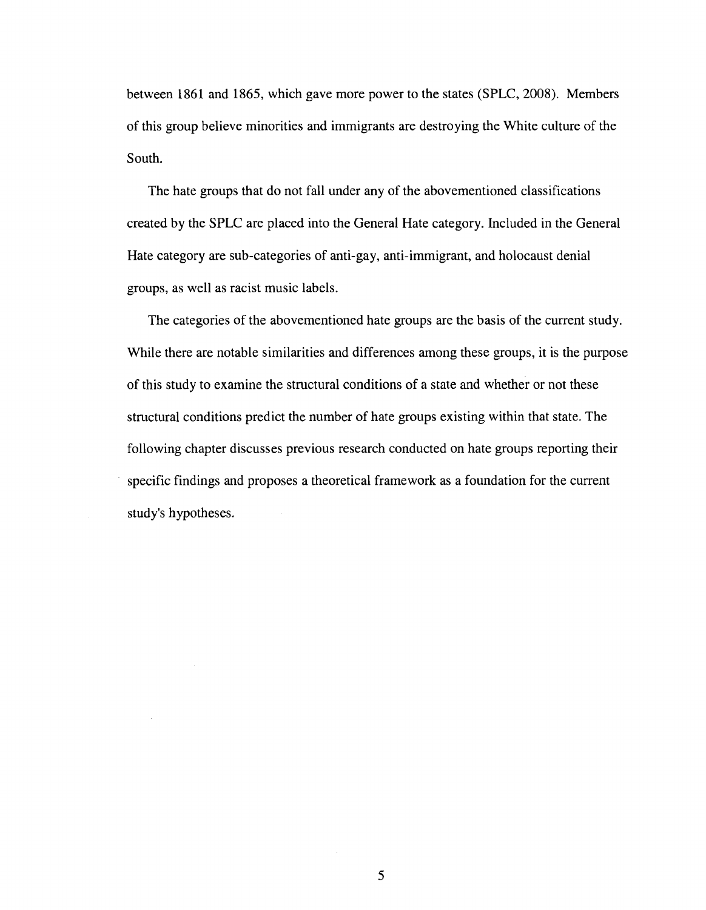between 1861 and 1865, which gave more power to the states (SPLC, 2008). Members of this group believe minorities and immigrants are destroying the White culture of the South.

The hate groups that do not fall under any of the abovementioned classifications created by the SPLC are placed into the General Hate category. Included in the General Hate category are sub-categories of anti-gay, anti-immigrant, and holocaust denial groups, as well as racist music labels.

The categories of the abovementioned hate groups are the basis of the current study. While there are notable similarities and differences among these groups, it is the purpose of this study to examine the structural conditions of a state and whether or not these structural conditions predict the number of hate groups existing within that state. The following chapter discusses previous research conducted on hate groups reporting their specific findings and proposes a theoretical framework as a foundation for the current study's hypotheses.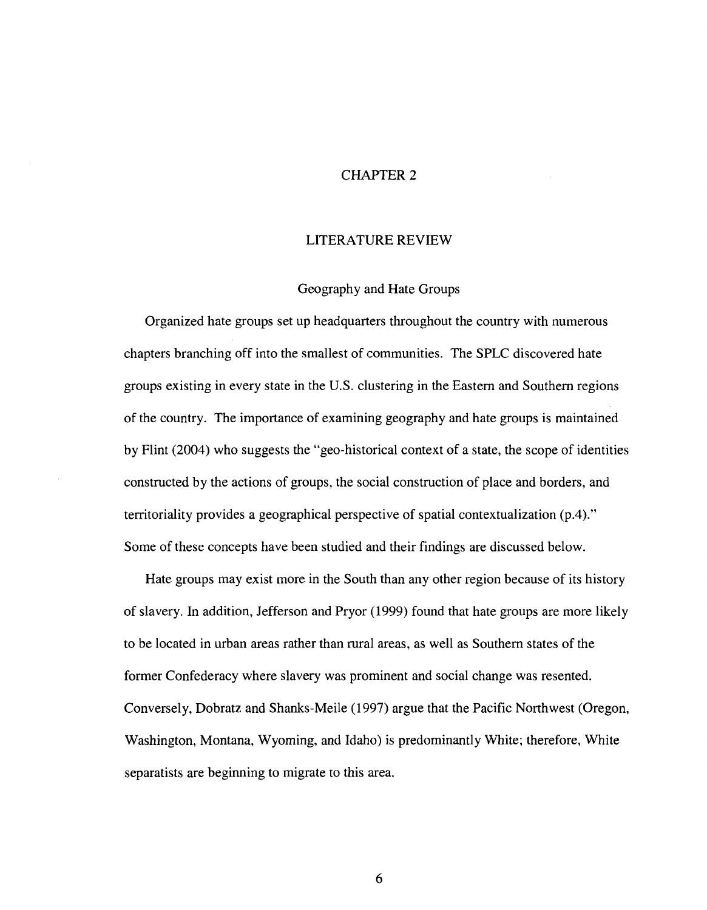#### CHAPTER 2

#### LITERATURE REVIEW

#### Geography and Hate Groups

Organized hate groups set up headquarters throughout the country with numerous chapters branching off into the smallest of communities. The SPLC discovered hate groups existing in every state in the U.S. clustering in the Eastern and Southern regions of the country. The importance of examining geography and hate groups is maintained by Flint (2004) who suggests the "geo-historical context of a state, the scope of identities constructed by the actions of groups, the social construction of place and borders, and territoriality provides a geographical perspective of spatial contextualization (p.4)." Some of these concepts have been studied and their findings are discussed below.

Hate groups may exist more in the South than any other region because of its history of slavery. In addition, Jefferson and Pryor (1999) found that hate groups are more likely to be located in urban areas rather than rural areas, as well as Southern states of the former Confederacy where slavery was prominent and social change was resented. Conversely, Dobratz and Shanks-Meile (1997) argue that the Pacific Northwest (Oregon, Washington, Montana, Wyoming, and Idaho) is predominantly White; therefore, White separatists are beginning to migrate to this area.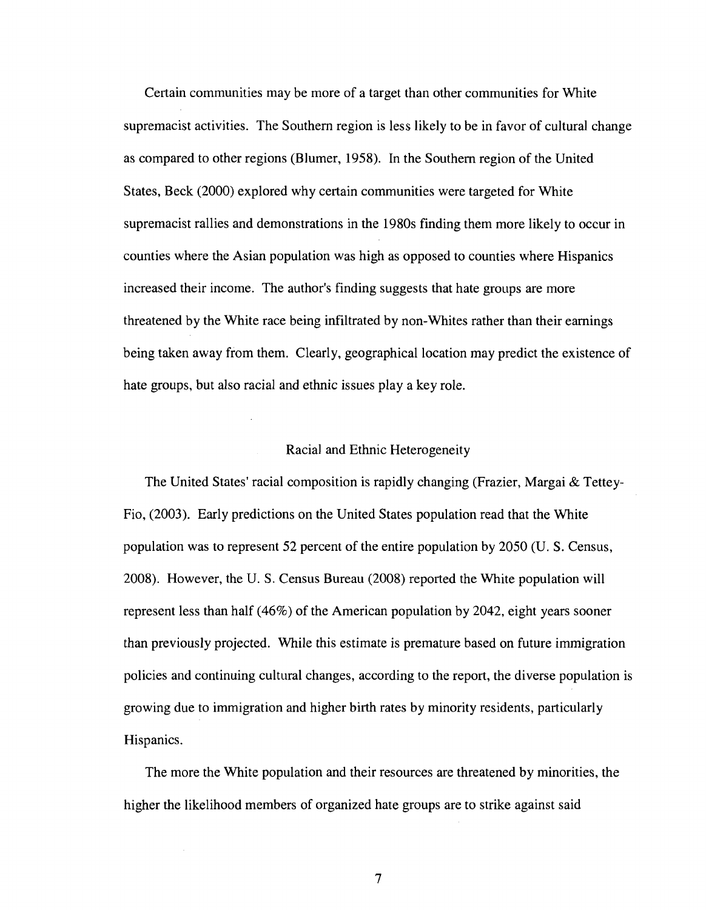Certain communities may be more of a target than other communities for White supremacist activities. The Southern region is less likely to be in favor of cultural change as compared to other regions (Blumer, 1958). In the Southern region of the United States, Beck (2000) explored why certain communities were targeted for White supremacist rallies and demonstrations in the 1980s finding them more likely to occur in counties where the Asian population was high as opposed to counties where Hispanics increased their income. The author's finding suggests that hate groups are more threatened by the White race being infiltrated by non-Whites rather than their earnings being taken away from them. Clearly, geographical location may predict the existence of hate groups, but also racial and ethnic issues play a key role.

#### Racial and Ethnic Heterogeneity

The United States' racial composition is rapidly changing (Frazier, Margai & Tettey-Fio, (2003). Early predictions on the United States population read that the White population was to represent 52 percent of the entire population by 2050 (U. S. Census, 2008). However, the U. S. Census Bureau (2008) reported the White population will represent less than half (46%) of the American population by 2042, eight years sooner than previously projected. While this estimate is premature based on future immigration policies and continuing cultural changes, according to the report, the diverse population is growing due to immigration and higher birth rates by minority residents, particularly Hispanics.

The more the White population and their resources are threatened by minorities, the higher the likelihood members of organized hate groups are to strike against said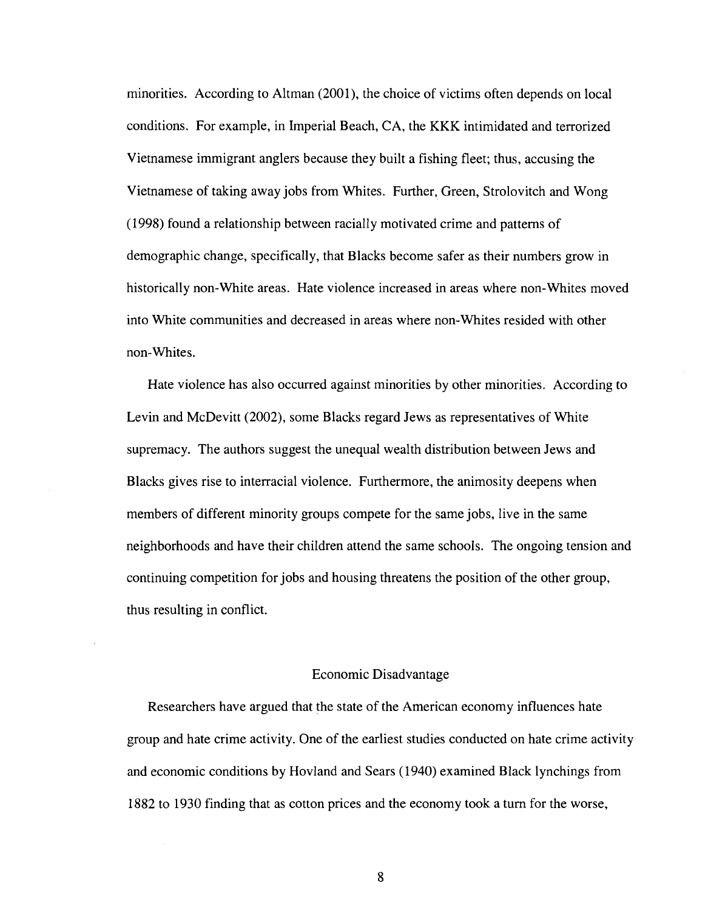minorities. According to Altman (2001), the choice of victims often depends on local conditions. For example, in Imperial Beach, CA, the KKK intimidated and terrorized Vietnamese immigrant anglers because they built a fishing fleet; thus, accusing the Vietnamese of taking away jobs from Whites. Further, Green, Strolovitch and Wong (1998) found a relationship between racially motivated crime and patterns of demographic change, specifically, that Blacks become safer as their numbers grow in historically non-White areas. Hate violence increased in areas where non-Whites moved into White communities and decreased in areas where non-Whites resided with other non-Whites.

Hate violence has also occurred against minorities by other minorities. According to Levin and McDevitt (2002), some Blacks regard Jews as representatives of White supremacy. The authors suggest the unequal wealth distribution between Jews and Blacks gives rise to interracial violence. Furthermore, the animosity deepens when members of different minority groups compete for the same jobs, live in the same neighborhoods and have their children attend the same schools. The ongoing tension and continuing competition for jobs and housing threatens the position of the other group, thus resulting in conflict.

#### Economic Disadvantage

Researchers have argued that the state of the American economy influences hate group and hate crime activity. One of the earliest studies conducted on hate crime activity and economic conditions by Hovland and Sears (1940) examined Black lynchings from 1882 to 1930 finding that as cotton prices and the economy took a turn for the worse,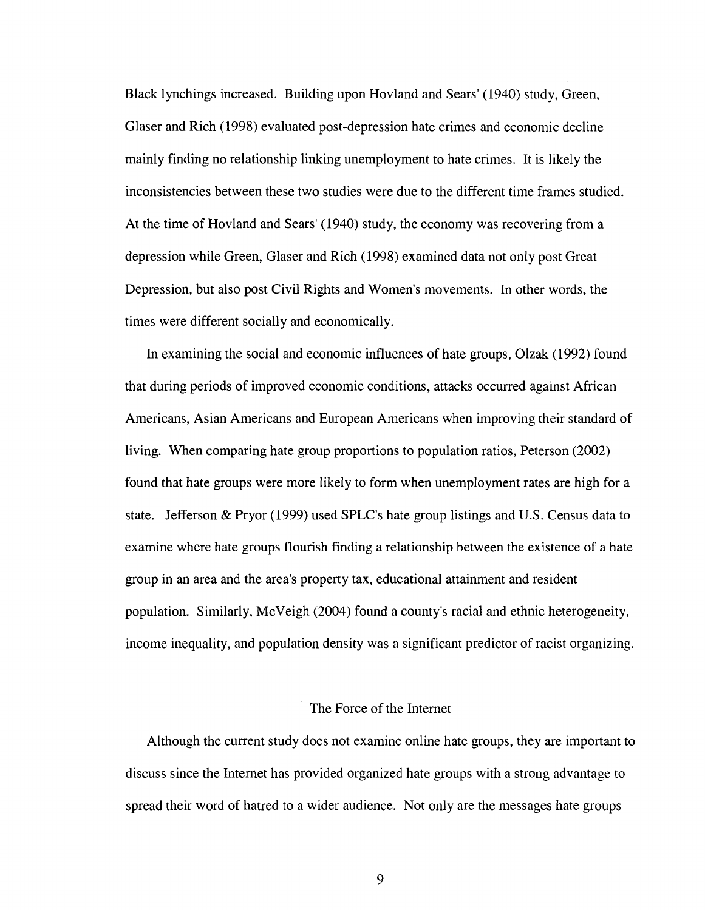Black lynchings increased. Building upon Hovland and Sears' (1940) study, Green, Glaser and Rich (1998) evaluated post-depression hate crimes and economic decline mainly finding no relationship linking unemployment to hate crimes. It is likely the inconsistencies between these two studies were due to the different time frames studied. At the time of Hovland and Sears' (1940) study, the economy was recovering from a depression while Green, Glaser and Rich (1998) examined data not only post Great Depression, but also post Civil Rights and Women's movements. In other words, the times were different socially and economically.

In examining the social and economic influences of hate groups, Olzak (1992) found that during periods of improved economic conditions, attacks occurred against African Americans, Asian Americans and European Americans when improving their standard of living. When comparing hate group proportions to population ratios, Peterson (2002) found that hate groups were more likely to form when unemployment rates are high for a state. Jefferson & Pryor (1999) used SPLC's hate group listings and U.S. Census data to examine where hate groups flourish finding a relationship between the existence of a hate group in an area and the area's property tax, educational attainment and resident population. Similarly, McVeigh (2004) found a county's racial and ethnic heterogeneity, income inequality, and population density was a significant predictor of racist organizing.

#### The Force of the Internet

Although the current study does not examine online hate groups, they are important to discuss since the Internet has provided organized hate groups with a strong advantage to spread their word of hatred to a wider audience. Not only are the messages hate groups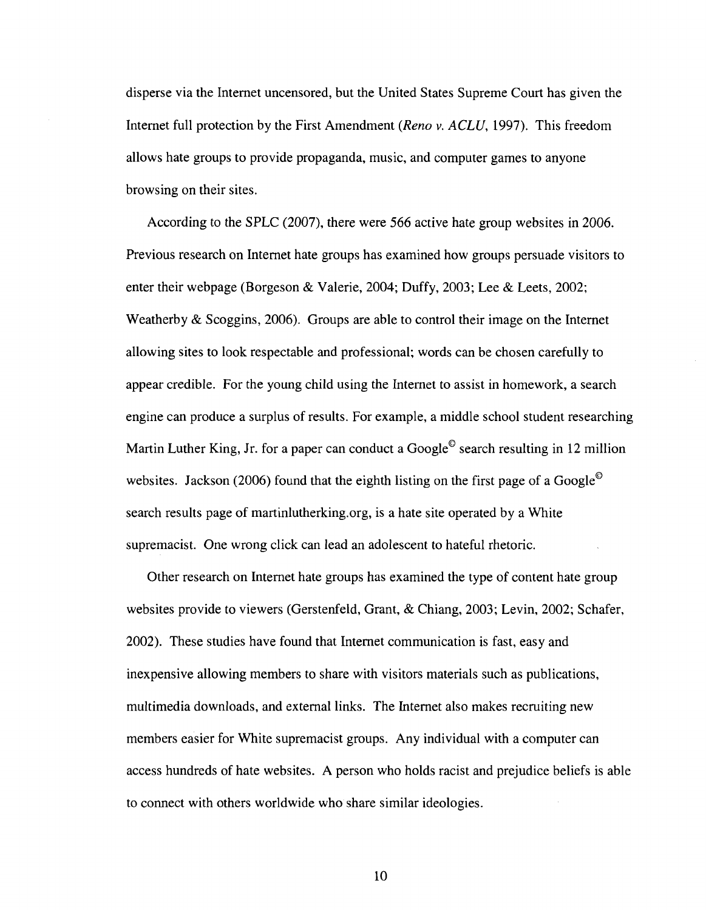disperse via the Internet uncensored, but the United States Supreme Court has given the Internet full protection by the First Amendment *(Reno v. ACLU,* 1997). This freedom allows hate groups to provide propaganda, music, and computer games to anyone browsing on their sites.

According to the SPLC (2007), there were 566 active hate group websites in 2006. Previous research on Internet hate groups has examined how groups persuade visitors to enter their webpage (Borgeson & Valerie, 2004; Duffy, 2003; Lee & Leets, 2002; Weatherby & Scoggins, 2006). Groups are able to control their image on the Internet allowing sites to look respectable and professional; words can be chosen carefully to appear credible. For the young child using the Internet to assist in homework, a search engine can produce a surplus of results. For example, a middle school student researching Martin Luther King, Jr. for a paper can conduct a Google<sup> $\odot$ </sup> search resulting in 12 million websites. Jackson (2006) found that the eighth listing on the first page of a Google<sup>©</sup> search results page of [martinlutherking.org,](http://martinlutherking.org) is a hate site operated by a White supremacist. One wrong click can lead an adolescent to hateful rhetoric.

Other research on Internet hate groups has examined the type of content hate group websites provide to viewers (Gerstenfeld, Grant, & Chiang, 2003; Levin, 2002; Schafer, 2002). These studies have found that Internet communication is fast, easy and inexpensive allowing members to share with visitors materials such as publications, multimedia downloads, and external links. The Internet also makes recruiting new members easier for White supremacist groups. Any individual with a computer can access hundreds of hate websites. A person who holds racist and prejudice beliefs is able to connect with others worldwide who share similar ideologies.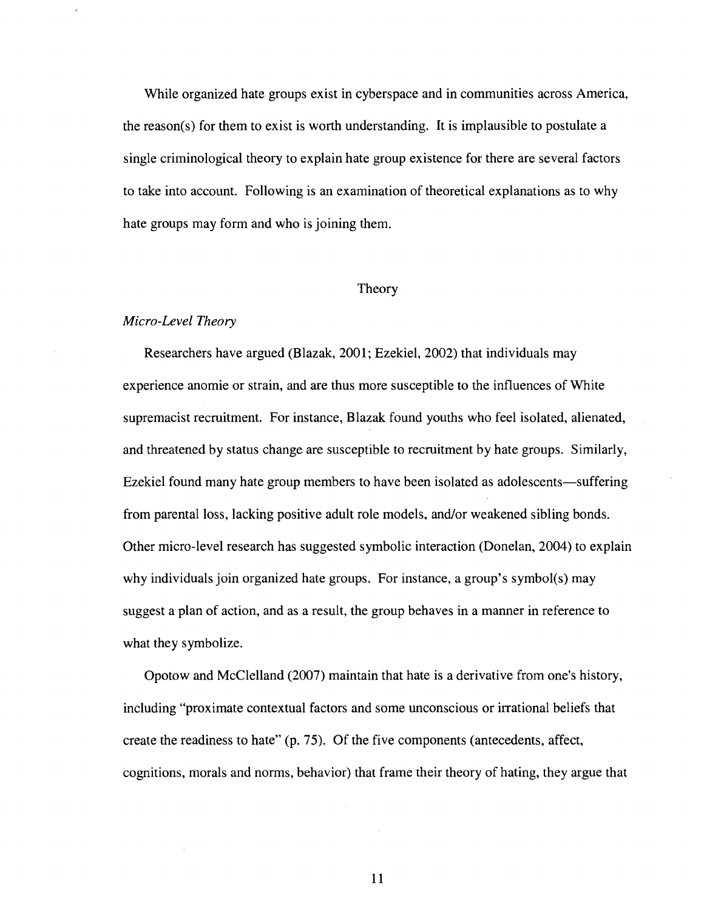While organized hate groups exist in cyberspace and in communities across America, the reason(s) for them to exist is worth understanding. It is implausible to postulate a single criminological theory to explain hate group existence for there are several factors to take into account. Following is an examination of theoretical explanations as to why hate groups may form and who is joining them.

#### Theory

#### *Micro-Level Theory*

Researchers have argued (Blazak, 2001; Ezekiel, 2002) that individuals may experience anomie or strain, and are thus more susceptible to the influences of White supremacist recruitment. For instance, Blazak found youths who feel isolated, alienated, and threatened by status change are susceptible to recruitment by hate groups. Similarly, Ezekiel found many hate group members to have been isolated as adolescents—suffering from parental loss, lacking positive adult role models, and/or weakened sibling bonds. Other micro-level research has suggested symbolic interaction (Donelan, 2004) to explain why individuals join organized hate groups. For instance, a group's symbol(s) may suggest a plan of action, and as a result, the group behaves in a manner in reference to what they symbolize.

Opotow and McClelland (2007) maintain that hate is a derivative from one's history, including "proximate contextual factors and some unconscious or irrational beliefs that create the readiness to hate" (p. 75). Of the five components (antecedents, affect, cognitions, morals and norms, behavior) that frame their theory of hating, they argue that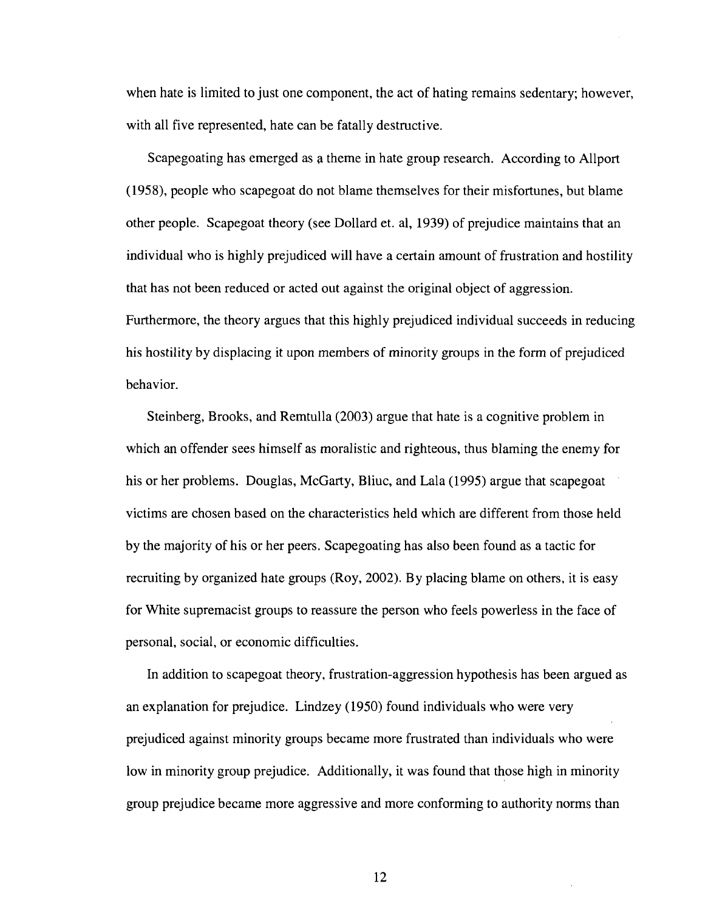when hate is limited to just one component, the act of hating remains sedentary; however, with all five represented, hate can be fatally destructive.

Scapegoating has emerged as a theme in hate group research. According to Allport (1958), people who scapegoat do not blame themselves for their misfortunes, but blame other people. Scapegoat theory (see Dollard et. al, 1939) of prejudice maintains that an individual who is highly prejudiced will have a certain amount of frustration and hostility that has not been reduced or acted out against the original object of aggression. Furthermore, the theory argues that this highly prejudiced individual succeeds in reducing his hostility by displacing it upon members of minority groups in the form of prejudiced behavior.

Steinberg, Brooks, and Remtulla (2003) argue that hate is a cognitive problem in which an offender sees himself as moralistic and righteous, thus blaming the enemy for his or her problems. Douglas, McGarty, Bliuc, and Lala (1995) argue that scapegoat victims are chosen based on the characteristics held which are different from those held by the majority of his or her peers. Scapegoating has also been found as a tactic for recruiting by organized hate groups (Roy, 2002). By placing blame on others, it is easy for White supremacist groups to reassure the person who feels powerless in the face of personal, social, or economic difficulties.

In addition to scapegoat theory, frustration-aggression hypothesis has been argued as an explanation for prejudice. Lindzey (1950) found individuals who were very prejudiced against minority groups became more frustrated than individuals who were low in minority group prejudice. Additionally, it was found that those high in minority group prejudice became more aggressive and more conforming to authority norms than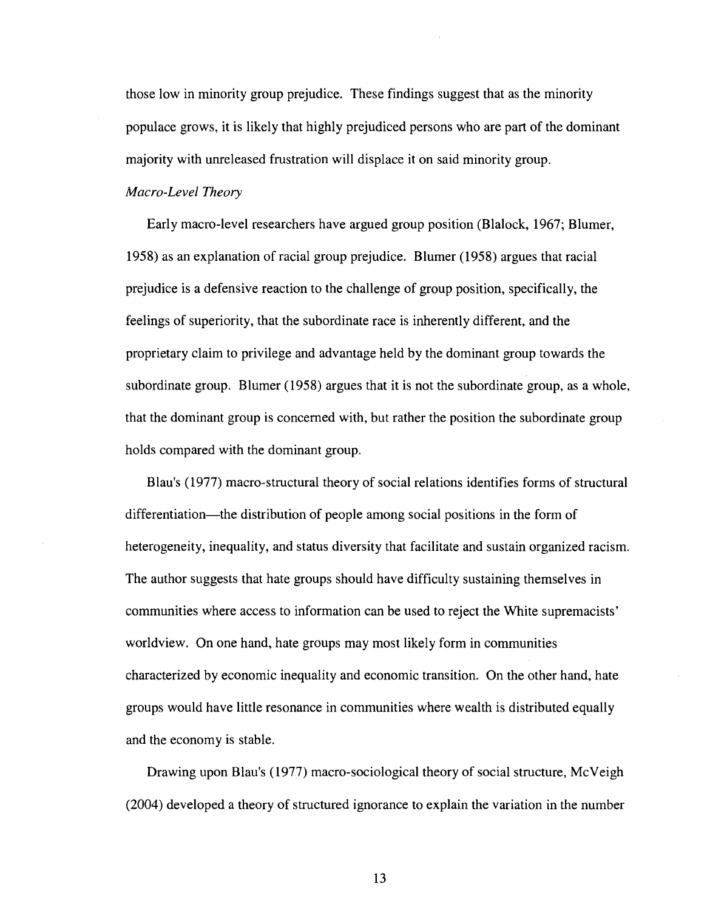those low in minority group prejudice. These findings suggest that as the minority populace grows, it is likely that highly prejudiced persons who are part of the dominant majority with unreleased frustration will displace it on said minority group.

#### *Macro-Level Theory*

Early macro-level researchers have argued group position (Blalock, 1967; Blumer, 1958) as an explanation of racial group prejudice. Blumer (1958) argues that racial prejudice is a defensive reaction to the challenge of group position, specifically, the feelings of superiority, that the subordinate race is inherently different, and the proprietary claim to privilege and advantage held by the dominant group towards the subordinate group. Blumer (1958) argues that it is not the subordinate group, as a whole, that the dominant group is concerned with, but rather the position the subordinate group holds compared with the dominant group.

Blau's (1977) macro-structural theory of social relations identifies forms of structural differentiation—the distribution of people among social positions in the form of heterogeneity, inequality, and status diversity that facilitate and sustain organized racism. The author suggests that hate groups should have difficulty sustaining themselves in communities where access to information can be used to reject the White supremacists' worldview. On one hand, hate groups may most likely form in communities characterized by economic inequality and economic transition. On the other hand, hate groups would have little resonance in communities where wealth is distributed equally and the economy is stable.

Drawing upon Blau's (1977) macro-sociological theory of social structure, McVeigh (2004) developed a theory of structured ignorance to explain the variation in the number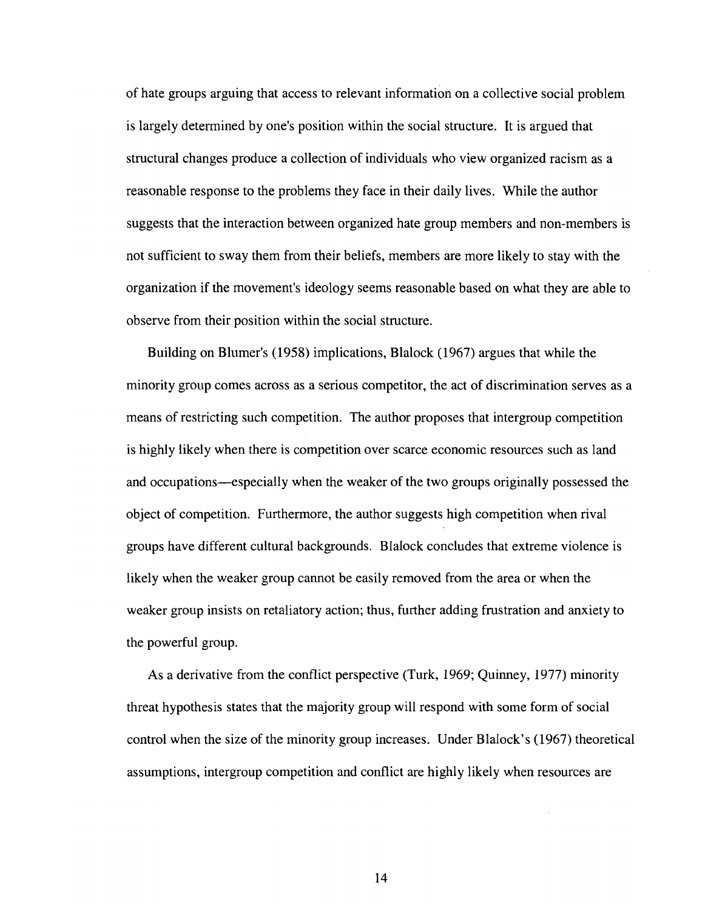of hate groups arguing that access to relevant information on a collective social problem is largely determined by one's position within the social structure. It is argued that structural changes produce a collection of individuals who view organized racism as a reasonable response to the problems they face in their daily lives. While the author suggests that the interaction between organized hate group members and non-members is not sufficient to sway them from their beliefs, members are more likely to stay with the organization if the movement's ideology seems reasonable based on what they are able to observe from their position within the social structure.

Building on Blumer's (1958) implications, Blalock (1967) argues that while the minority group comes across as a serious competitor, the act of discrimination serves as a means of restricting such competition. The author proposes that intergroup competition is highly likely when there is competition over scarce economic resources such as land and occupations—especially when the weaker of the two groups originally possessed the object of competition. Furthermore, the author suggests high competition when rival groups have different cultural backgrounds. Blalock concludes that extreme violence is likely when the weaker group cannot be easily removed from the area or when the weaker group insists on retaliatory action; thus, further adding frustration and anxiety to the powerful group.

As a derivative from the conflict perspective (Turk, 1969; Quinney, 1977) minority threat hypothesis states that the majority group will respond with some form of social control when the size of the minority group increases. Under Blalock's (1967) theoretical assumptions, intergroup competition and conflict are highly likely when resources are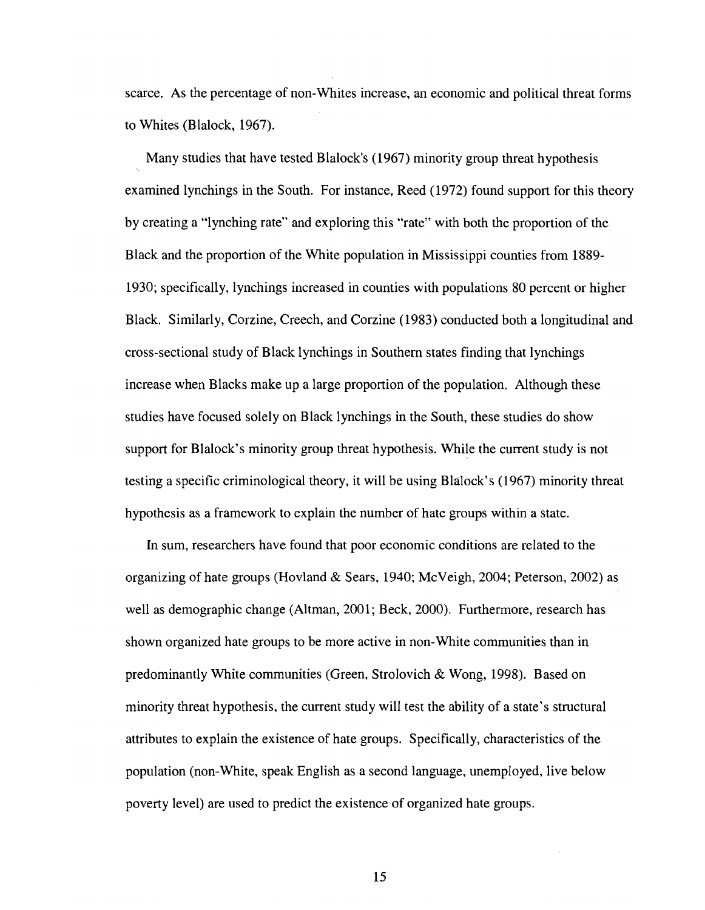scarce. As the percentage of non-Whites increase, an economic and political threat forms to Whites (Blalock, 1967).

Many studies that have tested Blalock's (1967) minority group threat hypothesis examined lynchings in the South. For instance, Reed (1972) found support for this theory by creating a "lynching rate" and exploring this "rate" with both the proportion of the Black and the proportion of the White population in Mississippi counties from 1889- 1930; specifically, lynchings increased in counties with populations 80 percent or higher Black. Similarly, Corzine, Creech, and Corzine (1983) conducted both a longitudinal and cross-sectional study of Black lynchings in Southern states finding that lynchings increase when Blacks make up a large proportion of the population. Although these studies have focused solely on Black lynchings in the South, these studies do show support for Blalock's minority group threat hypothesis. While the current study is not testing a specific criminological theory, it will be using Blalock's (1967) minority threat hypothesis as a framework to explain the number of hate groups within a state.

In sum, researchers have found that poor economic conditions are related to the organizing of hate groups (Hovland & Sears, 1940; McVeigh, 2004; Peterson, 2002) as well as demographic change (Altman, 2001; Beck, 2000). Furthermore, research has shown organized hate groups to be more active in non-White communities than in predominantly White communities (Green, Strolovich & Wong, 1998). Based on minority threat hypothesis, the current study will test the ability of a state's structural attributes to explain the existence of hate groups. Specifically, characteristics of the population (non-White, speak English as a second language, unemployed, live below poverty level) are used to predict the existence of organized hate groups.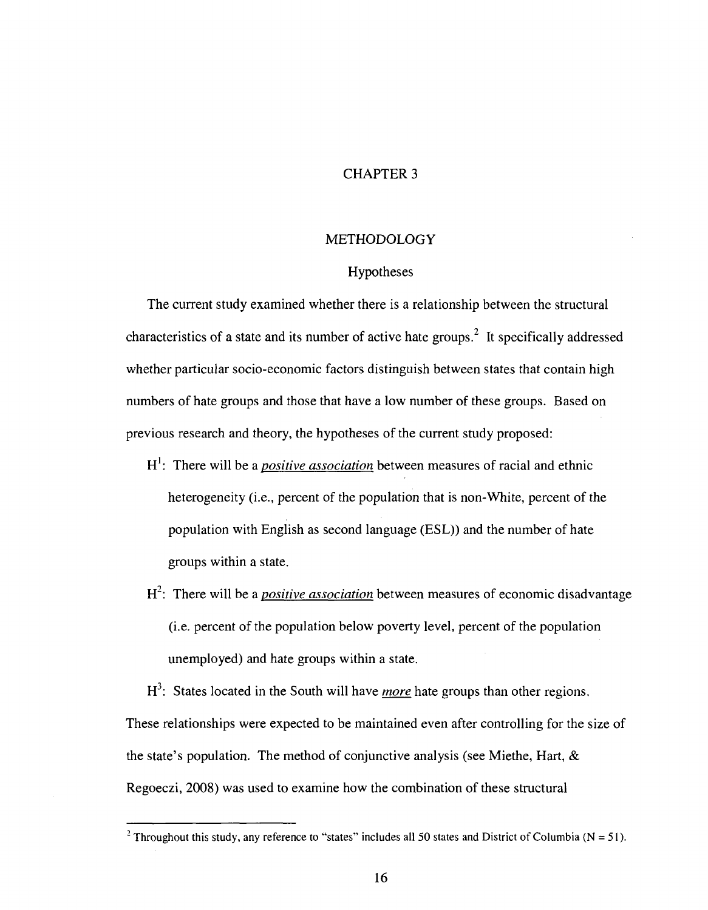#### CHAPTER 3

#### **METHODOLOGY**

#### Hypotheses

The current study examined whether there is a relationship between the structural characteristics of a state and its number of active hate groups.<sup>2</sup> It specifically addressed whether particular socio-economic factors distinguish between states that contain high numbers of hate groups and those that have a low number of these groups. Based on previous research and theory, the hypotheses of the current study proposed:

- H<sup>1</sup>: There will be a *positive association* between measures of racial and ethnic heterogeneity (i.e., percent of the population that is non-White, percent of the population with English as second language (ESL)) and the number of hate groups within a state.
- H<sup>2</sup>: There will be a *positive association* between measures of economic disadvantage (i.e. percent of the population below poverty level, percent of the population unemployed) and hate groups within a state.

H<sup>3</sup>: States located in the South will have *more* hate groups than other regions. These relationships were expected to be maintained even after controlling for the size of the state's population. The method of conjunctive analysis (see Miethe, Hart, & Regoeczi, 2008) was used to examine how the combination of these structural

<sup>&</sup>lt;sup>2</sup> Throughout this study, any reference to "states" includes all 50 states and District of Columbia (N = 51).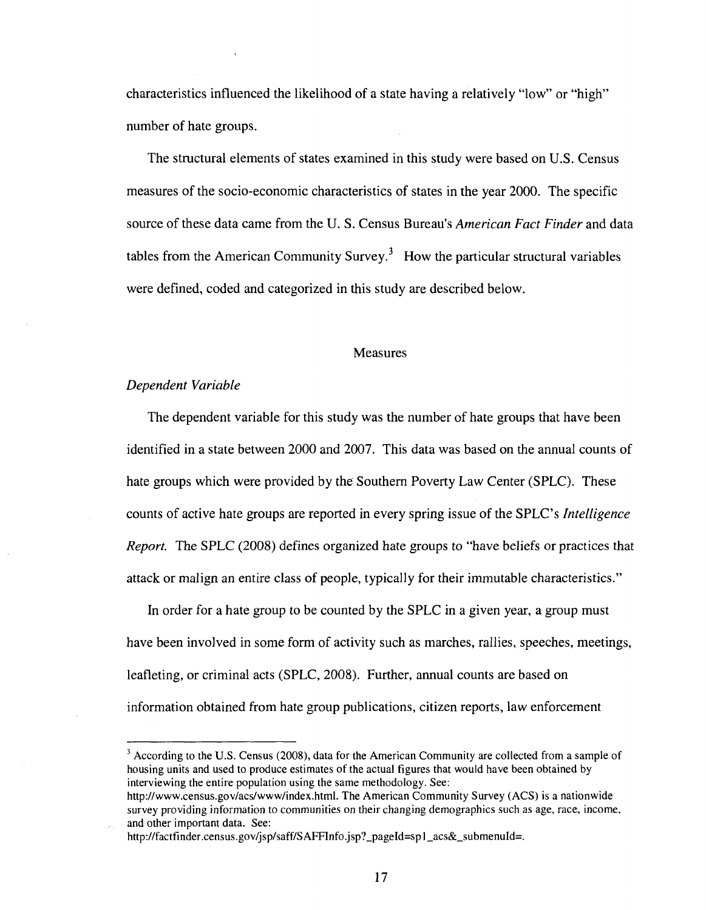characteristics influenced the likelihood of a state having a relatively "low" or "high" number of hate groups.

The structural elements of states examined in this study were based on U.S. Census measures of the socio-economic characteristics of states in the year 2000. The specific source of these data came from the U. S. Census Bureau's *American Fact Finder* and data tables from the American Community Survey.<sup>3</sup> How the particular structural variables were defined, coded and categorized in this study are described below.

#### Measures

#### *Dependent Variable*

The dependent variable for this study was the number of hate groups that have been identified in a state between 2000 and 2007. This data was based on the annual counts of hate groups which were provided by the Southern Poverty Law Center (SPLC). These counts of active hate groups are reported in every spring issue of the SPLC's *Intelligence Report.* The SPLC (2008) defines organized hate groups to "have beliefs or practices that attack or malign an entire class of people, typically for their immutable characteristics."

In order for a hate group to be counted by the SPLC in a given year, a group must have been involved in some form of activity such as marches, rallies, speeches, meetings, leafleting, or criminal acts (SPLC, 2008). Further, annual counts are based on information obtained from hate group publications, citizen reports, law enforcement

 $3$  According to the U.S. Census (2008), data for the American Community are collected from a sample of housing units and used to produce estimates of the actual figures that would have been obtained by interviewing the entire population using the same methodology. See:

[http://www.census.gov/acs/www/index.html.](http://www.census.gov/acs/www/index.html) The American Community Survey (ACS) is a nationwide survey providing information to communities on their changing demographics such as age, race, income, and other important data. See:

http://factfinder.census.gov/jsp/saff/SAFFInfo.jsp?\_pageId=sp1\_acs&\_submenuId=.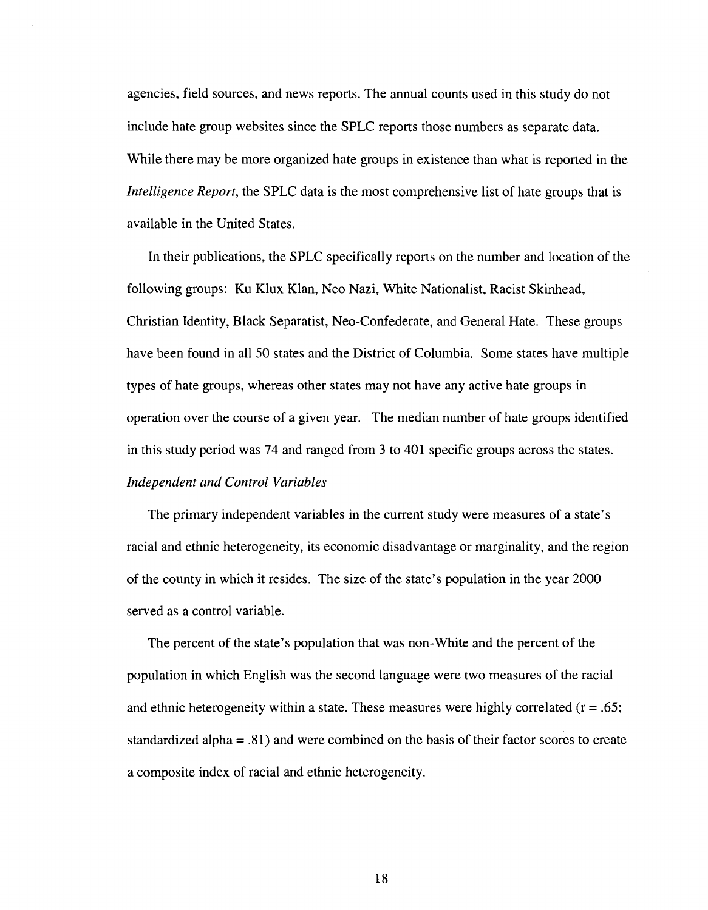agencies, field sources, and news reports. The annual counts used in this study do not include hate group websites since the SPLC reports those numbers as separate data. While there may be more organized hate groups in existence than what is reported in the *Intelligence Report,* the SPLC data is the most comprehensive list of hate groups that is available in the United States.

In their publications, the SPLC specifically reports on the number and location of the following groups: Ku Klux Klan, Neo Nazi, White Nationalist, Racist Skinhead, Christian Identity, Black Separatist, Neo-Confederate, and General Hate. These groups have been found in all 50 states and the District of Columbia. Some states have multiple types of hate groups, whereas other states may not have any active hate groups in operation over the course of a given year. The median number of hate groups identified in this study period was 74 and ranged from 3 to 401 specific groups across the states. *Independent and Control Variables* 

The primary independent variables in the current study were measures of a state's racial and ethnic heterogeneity, its economic disadvantage or marginality, and the region of the county in which it resides. The size of the state's population in the year 2000 served as a control variable.

The percent of the state's population that was non-White and the percent of the population in which English was the second language were two measures of the racial and ethnic heterogeneity within a state. These measures were highly correlated  $(r = .65)$ ; standardized alpha = .81) and were combined on the basis of their factor scores to create a composite index of racial and ethnic heterogeneity.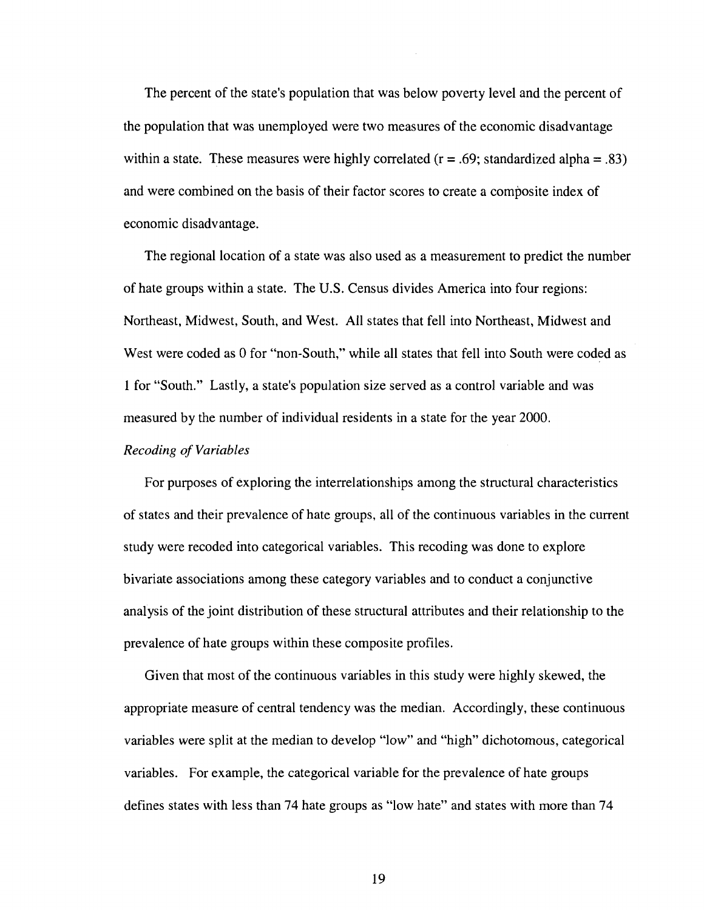The percent of the state's population that was below poverty level and the percent of the population that was unemployed were two measures of the economic disadvantage within a state. These measures were highly correlated  $(r = .69;$  standardized alpha = .83) and were combined on the basis of their factor scores to create a composite index of economic disadvantage.

The regional location of a state was also used as a measurement to predict the number of hate groups within a state. The U.S. Census divides America into four regions: Northeast, Midwest, South, and West. All states that fell into Northeast, Midwest and West were coded as 0 for "non-South," while all states that fell into South were coded as 1 for "South." Lastly, a state's population size served as a control variable and was measured by the number of individual residents in a state for the year 2000.

#### *Recoding of Variables*

For purposes of exploring the interrelationships among the structural characteristics of states and their prevalence of hate groups, all of the continuous variables in the current study were recoded into categorical variables. This recoding was done to explore bivariate associations among these category variables and to conduct a conjunctive analysis of the joint distribution of these structural attributes and their relationship to the prevalence of hate groups within these composite profiles.

Given that most of the continuous variables in this study were highly skewed, the appropriate measure of central tendency was the median. Accordingly, these continuous variables were split at the median to develop "low" and "high" dichotomous, categorical variables. For example, the categorical variable for the prevalence of hate groups defines states with less than 74 hate groups as "low hate" and states with more than 74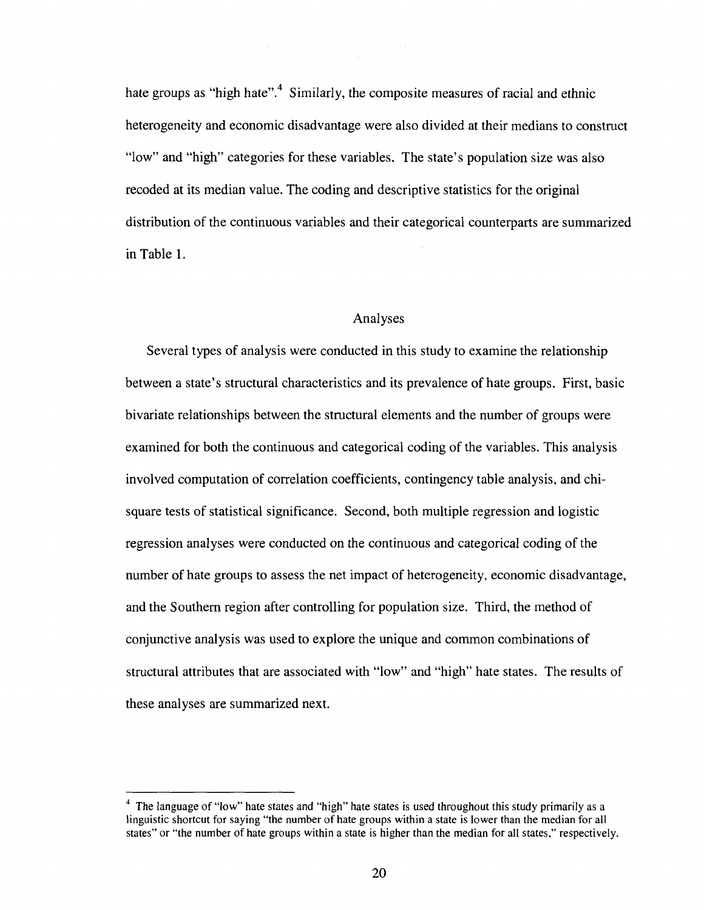hate groups as "high hate".<sup>4</sup> Similarly, the composite measures of racial and ethnic heterogeneity and economic disadvantage were also divided at their medians to construct "low" and "high" categories for these variables. The state's population size was also recoded at its median value. The coding and descriptive statistics for the original distribution of the continuous variables and their categorical counterparts are summarized in Table 1.

#### Analyses

Several types of analysis were conducted in this study to examine the relationship between a state's structural characteristics and its prevalence of hate groups. First, basic bivariate relationships between the structural elements and the number of groups were examined for both the continuous and categorical coding of the variables. This analysis involved computation of correlation coefficients, contingency table analysis, and chisquare tests of statistical significance. Second, both multiple regression and logistic regression analyses were conducted on the continuous and categorical coding of the number of hate groups to assess the net impact of heterogeneity, economic disadvantage, and the Southern region after controlling for population size. Third, the method of conjunctive analysis was used to explore the unique and common combinations of structural attributes that are associated with "low" and "high" hate states. The results of these analyses are summarized next.

<sup>&</sup>lt;sup>4</sup> The language of "low" hate states and "high" hate states is used throughout this study primarily as a linguistic shortcut for saying "the number of hate groups within a state is lower than the median for all states" or "the number of hate groups within a state is higher than the median for all states," respectively.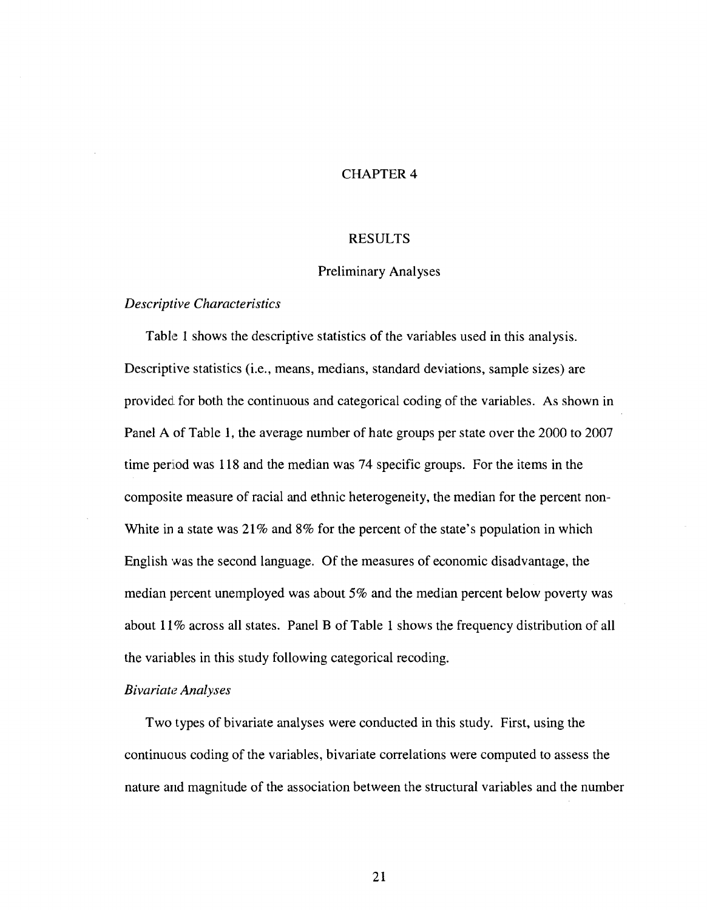#### CHAPTER 4

#### RESULTS

#### Preliminary Analyses

#### *Descriptive Characteristics*

Table 1 shows the descriptive statistics of the variables used in this analysis. Descriptive statistics (i.e., means, medians, standard deviations, sample sizes) are provided, for both the continuous and categorical coding of the variables. As shown in Panel A of Table 1, the average number of hate groups per state over the 2000 to 2007 time period was 118 and the median was 74 specific groups. For the items in the composite measure of racial and ethnic heterogeneity, the median for the percent non-White in a state was 21% and 8% for the percent of the state's population in which English was the second language. Of the measures of economic disadvantage, the median percent unemployed was about 5% and the median percent below poverty was about 11% across all states. Panel B of Table 1 shows the frequency distribution of all the variables in this study following categorical recoding.

#### *Bivariate Analyses*

Two types of bivariate analyses were conducted in this study. First, using the continuous coding of the variables, bivariate correlations were computed to assess the nature and magnitude of the association between the structural variables and the number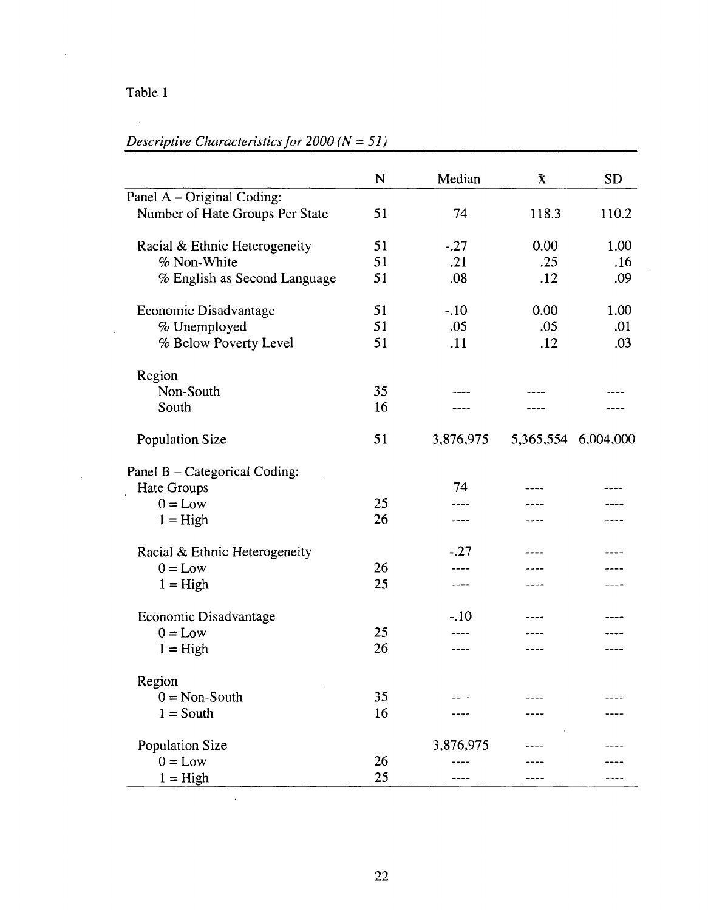# Table 1

 $\sim$   $\sim$ 

 $\sim 10^{-1}$ 

# *Descriptive Characteristics for 2000 (N* = *51)*

 $\sim 10^7$ 

|                                 | N  | Median    | $\bf \bar{X}$ | <b>SD</b> |
|---------------------------------|----|-----------|---------------|-----------|
| Panel A - Original Coding:      |    |           |               |           |
| Number of Hate Groups Per State | 51 | 74        | 118.3         | 110.2     |
| Racial & Ethnic Heterogeneity   | 51 | $-.27$    | 0.00          | 1.00      |
| % Non-White                     | 51 | .21       | .25           | .16       |
| % English as Second Language    | 51 | .08       | .12           | .09       |
| Economic Disadvantage           | 51 | $-.10$    | 0.00          | 1.00      |
| % Unemployed                    | 51 | .05       | .05           | .01       |
| % Below Poverty Level           | 51 | .11       | .12           | .03       |
| Region                          |    |           |               |           |
| Non-South                       | 35 |           |               |           |
| South                           | 16 |           |               |           |
| Population Size                 | 51 | 3,876,975 | 5,365,554     | 6,004,000 |
| Panel B – Categorical Coding:   |    |           |               |           |
| Hate Groups                     |    | 74        |               |           |
| $0 = Low$                       | 25 |           |               |           |
| $1 = High$                      | 26 | ----      |               |           |
| Racial & Ethnic Heterogeneity   |    | $-.27$    |               |           |
| $0 = Low$                       | 26 | ----      |               |           |
| $1 = High$                      | 25 | ----      | ----          |           |
| Economic Disadvantage           |    | $-.10$    |               |           |
| $0 = Low$                       | 25 | ----      |               |           |
| $1 = High$                      | 26 |           |               |           |
| Region                          |    |           |               |           |
| $0 = Non-South$                 | 35 |           |               |           |
| $1 = South$                     | 16 |           |               |           |
| Population Size                 |    | 3,876,975 |               |           |
| $0 = Low$                       | 26 |           |               |           |
| $1 = High$                      | 25 |           |               | ---       |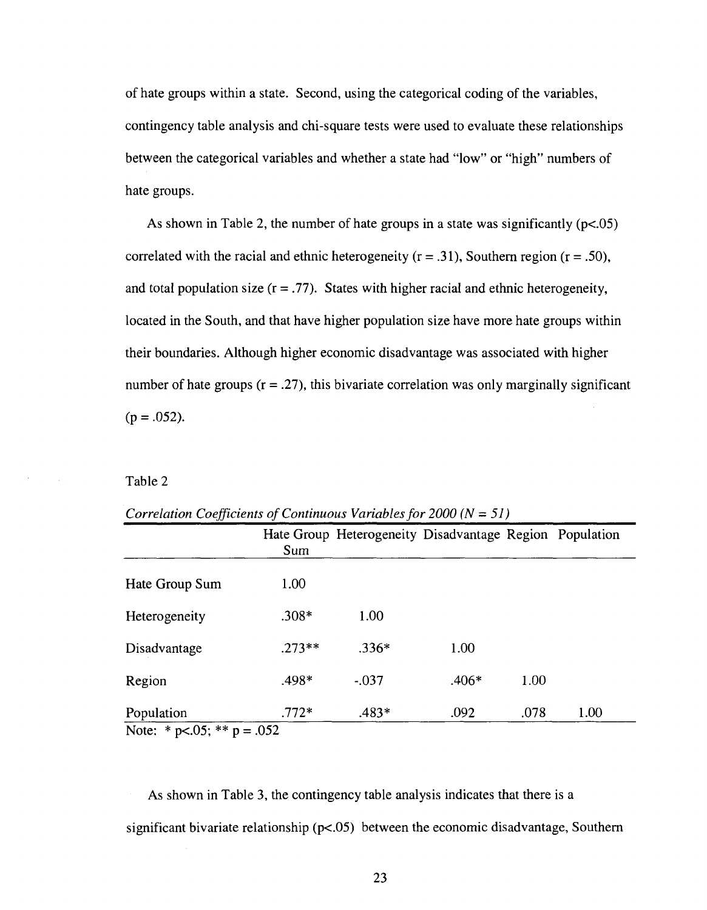of hate groups within a state. Second, using the categorical coding of the variables, contingency table analysis and chi-square tests were used to evaluate these relationships between the categorical variables and whether a state had "low" or "high" numbers of hate groups.

As shown in Table 2, the number of hate groups in a state was significantly (p<.05) correlated with the racial and ethnic heterogeneity ( $r = .31$ ), Southern region ( $r = .50$ ), and total population size  $(r = .77)$ . States with higher racial and ethnic heterogeneity, located in the South, and that have higher population size have more hate groups within their boundaries. Although higher economic disadvantage was associated with higher number of hate groups  $(r = .27)$ , this bivariate correlation was only marginally significant  $(p = .052)$ .

Table 2

|                | Sum      | Hate Group Heterogeneity Disadvantage Region Population |         |      |      |
|----------------|----------|---------------------------------------------------------|---------|------|------|
| Hate Group Sum | 1.00     |                                                         |         |      |      |
| Heterogeneity  | $.308*$  | 1.00                                                    |         |      |      |
| Disadvantage   | $.273**$ | $.336*$                                                 | 1.00    |      |      |
| Region         | .498*    | $-.037$                                                 | $.406*$ | 1.00 |      |
| Population     | $.772*$  | $.483*$                                                 | .092    | .078 | 1.00 |

*Correlation Coefficients of Continuous Variables for 2000 (N = 51)* 

Note: \* p<.05; \*\* p = .052

As shown in Table 3, the contingency table analysis indicates that there is a significant bivariate relationship (p<.05) between the economic disadvantage, Southern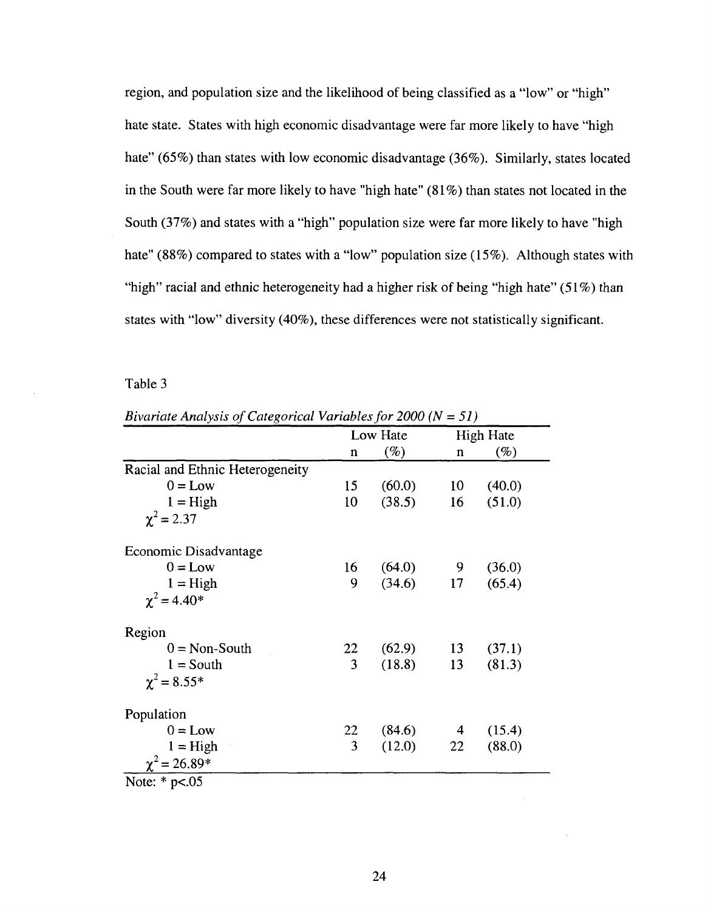region, and population size and the likelihood of being classified as a "low" or "high" hate state. States with high economic disadvantage were far more likely to have "high hate" (65%) than states with low economic disadvantage (36%). Similarly, states located in the South were far more likely to have "high hate" (81%) than states not located in the South (37%) and states with a "high" population size were far more likely to have "high hate" (88%) compared to states with a "low" population size (15%). Although states with "high" racial and ethnic heterogeneity had a higher risk of being "high hate" (51%) than states with "low" diversity (40%), these differences were not statistically significant.

Table 3

| $\alpha$ and the pole $\beta$ calleger for $\alpha$ and $\beta$ |             |          | $-00011 - 017$ |                  |  |
|-----------------------------------------------------------------|-------------|----------|----------------|------------------|--|
|                                                                 |             | Low Hate |                | <b>High Hate</b> |  |
|                                                                 | $\mathbf n$ | $(\%)$   | n              | $(\%)$           |  |
| Racial and Ethnic Heterogeneity                                 |             |          |                |                  |  |
| $0 = Low$                                                       | 15          | (60.0)   | 10             | (40.0)           |  |
| $1 =$ High                                                      | 10          | (38.5)   | 16             | (51.0)           |  |
| $\chi^2$ = 2.37                                                 |             |          |                |                  |  |
| Economic Disadvantage                                           |             |          |                |                  |  |
| $0 = Low$                                                       | 16          | (64.0)   | $\overline{9}$ | (36.0)           |  |
| $1 =$ High                                                      | 9           | (34.6)   | 17             | (65.4)           |  |
| $\chi^2$ = 4.40 <sup>*</sup>                                    |             |          |                |                  |  |
| Region                                                          |             |          |                |                  |  |
| $0 = \text{Non-South}$                                          | 22          | (62.9)   | 13             | (37.1)           |  |
| $1 =$ South                                                     | 3           | (18.8)   | 13             | (81.3)           |  |
| $\chi^2 = 8.55*$                                                |             |          |                |                  |  |
| Population                                                      |             |          |                |                  |  |
| $0 = Low$                                                       | 22          | (84.6)   | $\overline{4}$ | (15.4)           |  |
| $1 = High$                                                      | 3           | (12.0)   | 22             | (88.0)           |  |
| $\chi^2$ = 26.89*                                               |             |          |                |                  |  |

*Bivariate Analysis of Categorical Variables for 2000 (N = 51)* 

Note:  $*$  p $< .05$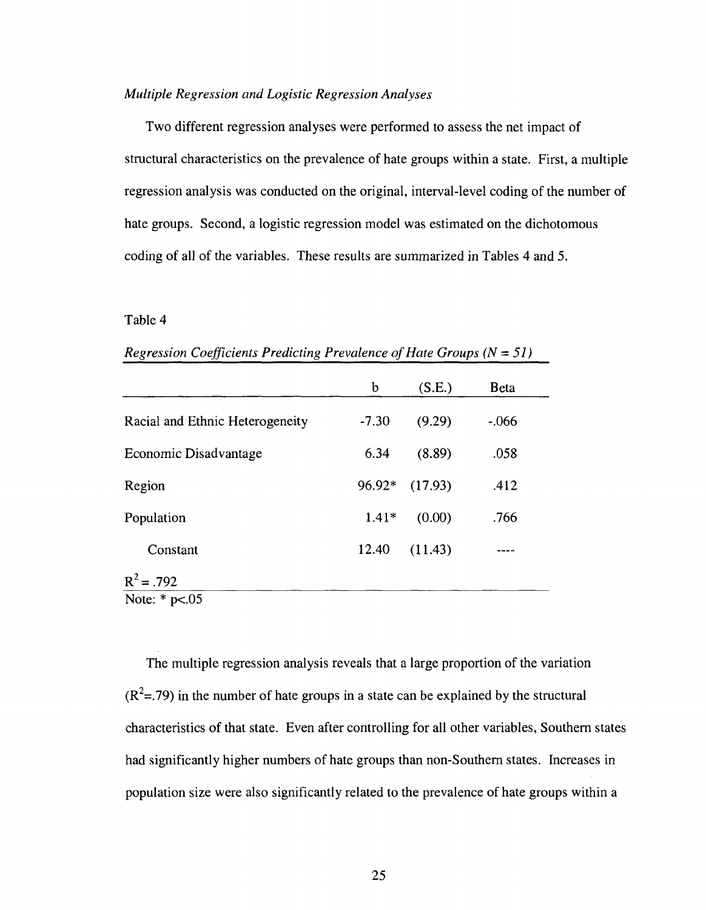#### *Multiple Regression and Logistic Regression Analyses*

Two different regression analyses were performed to assess the net impact of structural characteristics on the prevalence of hate groups within a state. First, a multiple regression analysis was conducted on the original, interval-level coding of the number of hate groups. Second, a logistic regression model was estimated on the dichotomous coding of all of the variables. These results are summarized in Tables 4 and 5.

#### Table 4

|                                 | b       | (S.E.)  | <b>B</b> eta |
|---------------------------------|---------|---------|--------------|
| Racial and Ethnic Heterogeneity | $-7.30$ | (9.29)  | $-.066$      |
| Economic Disadvantage           | 6.34    | (8.89)  | .058         |
| Region                          | 96.92*  | (17.93) | .412         |
| Population                      | $1.41*$ | (0.00)  | .766         |
| Constant                        | 12.40   | (11.43) |              |
| $R^2$ = .792                    |         |         |              |
| Note: $*$ p $< .05$             |         |         |              |

*Regression Coefficients Predicting Prevalence of Hate Groups (N = 51)* 

The multiple regression analysis reveals that a large proportion of the variation  $(R^2 = 0.79)$  in the number of hate groups in a state can be explained by the structural characteristics of that state. Even after controlling for all other variables, Southern states had significantly higher numbers of hate groups than non-Southern states. Increases in population size were also significantly related to the prevalence of hate groups within a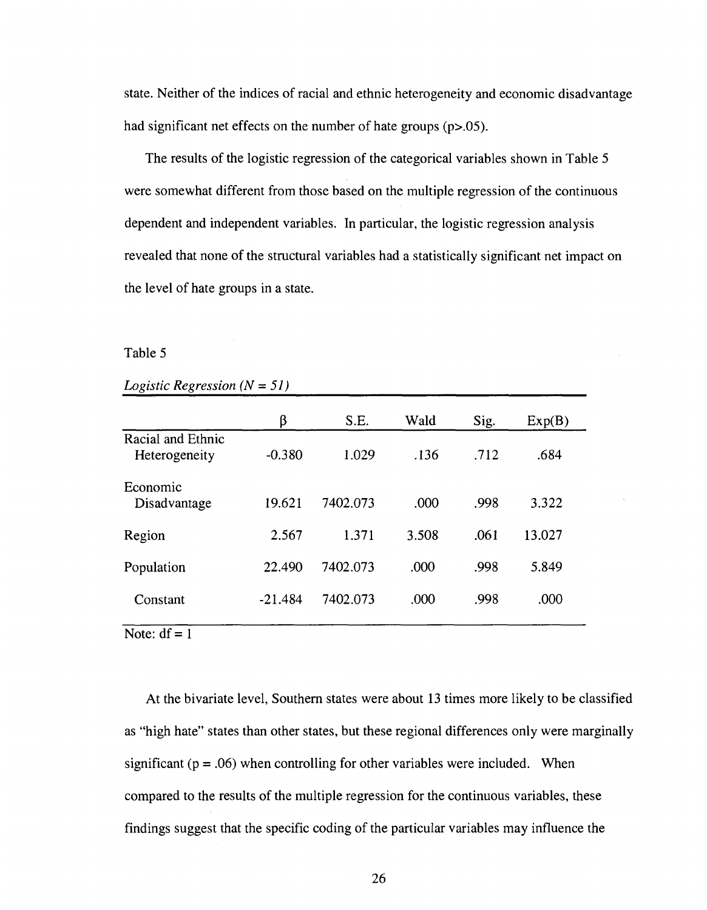state. Neither of the indices of racial and ethnic heterogeneity and economic disadvantage had significant net effects on the number of hate groups (p>.05).

The results of the logistic regression of the categorical variables shown in Table 5 were somewhat different from those based on the multiple regression of the continuous dependent and independent variables. In particular, the logistic regression analysis revealed that none of the structural variables had a statistically significant net impact on the level of hate groups in a state.

#### Table 5

#### *Logistic Regression (N* = *51)*

|                                    | β         | S.E.     | Wald  | Sig. | Exp(B) |
|------------------------------------|-----------|----------|-------|------|--------|
| Racial and Ethnic<br>Heterogeneity | $-0.380$  | 1.029    | .136  | .712 | .684   |
| Economic<br>Disadvantage           | 19.621    | 7402.073 | .000  | .998 | 3.322  |
| Region                             | 2.567     | 1.371    | 3.508 | .061 | 13.027 |
| Population                         | 22.490    | 7402.073 | .000  | .998 | 5.849  |
| Constant                           | $-21.484$ | 7402.073 | .000  | .998 | .000   |

Note:  $df = 1$ 

At the bivariate level, Southern states were about 13 times more likely to be classified as "high hate" states than other states, but these regional differences only were marginally significant ( $p = .06$ ) when controlling for other variables were included. When compared to the results of the multiple regression for the continuous variables, these findings suggest that the specific coding of the particular variables may influence the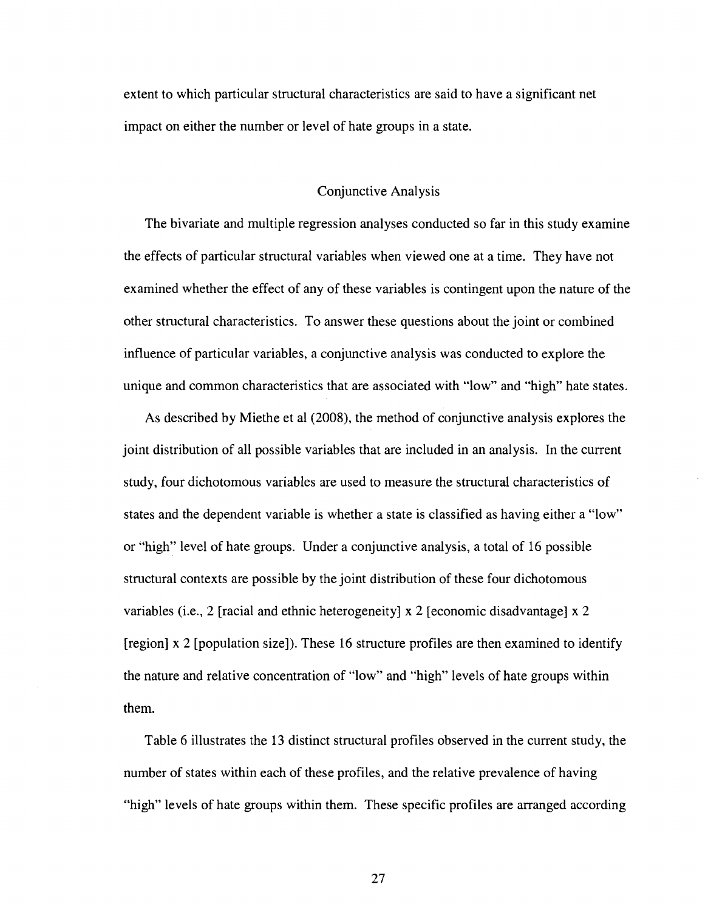extent to which particular structural characteristics are said to have a significant net impact on either the number or level of hate groups in a state.

#### Conjunctive Analysis

The bivariate and multiple regression analyses conducted so far in this study examine the effects of particular structural variables when viewed one at a time. They have not examined whether the effect of any of these variables is contingent upon the nature of the other structural characteristics. To answer these questions about the joint or combined influence of particular variables, a conjunctive analysis was conducted to explore the unique and common characteristics that are associated with "low" and "high" hate states.

As described by Miethe et al (2008), the method of conjunctive analysis explores the joint distribution of all possible variables that are included in an analysis. In the current study, four dichotomous variables are used to measure the structural characteristics of states and the dependent variable is whether a state is classified as having either a "low" or "high" level of hate groups. Under a conjunctive analysis, a total of 16 possible structural contexts are possible by the joint distribution of these four dichotomous variables (i.e., 2 [racial and ethnic heterogeneity] x 2 [economic disadvantage] x 2 [region] x 2 [population size]). These 16 structure profiles are then examined to identify the nature and relative concentration of "low" and "high" levels of hate groups within them.

Table 6 illustrates the 13 distinct structural profiles observed in the current study, the number of states within each of these profiles, and the relative prevalence of having "high" levels of hate groups within them. These specific profiles are arranged according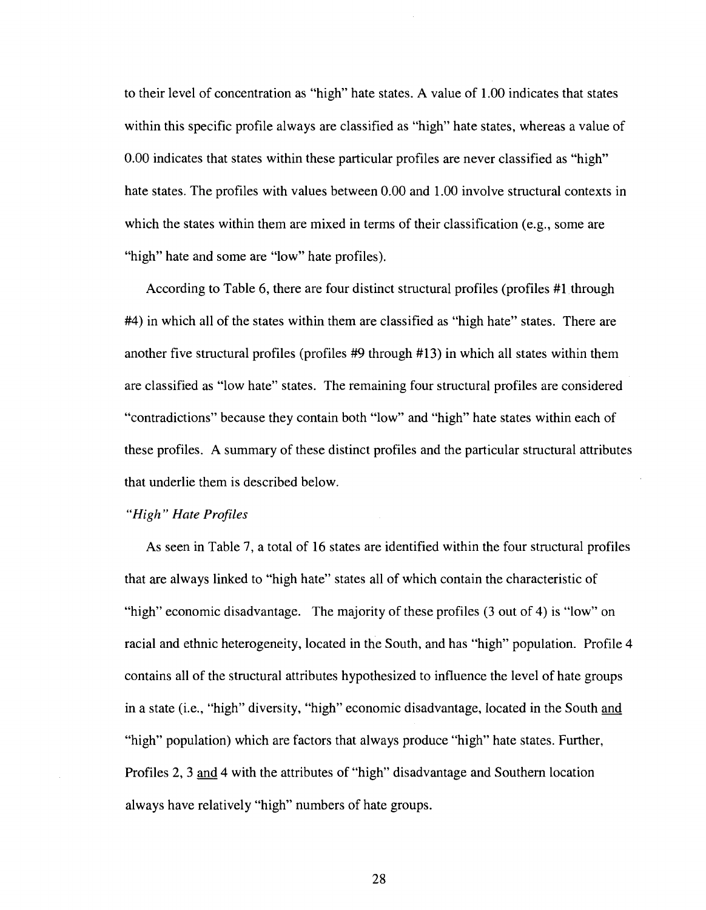to their level of concentration as "high" hate states. A value of 1.00 indicates that states within this specific profile always are classified as "high" hate states, whereas a value of 0.00 indicates that states within these particular profiles are never classified as "high" hate states. The profiles with values between 0.00 and 1.00 involve structural contexts in which the states within them are mixed in terms of their classification (e.g., some are "high" hate and some are "low" hate profiles).

According to Table 6, there are four distinct structural profiles (profiles #1 through #4) in which all of the states within them are classified as "high hate" states. There are another five structural profiles (profiles #9 through #13) in which all states within them are classified as "low hate" states. The remaining four structural profiles are considered "contradictions" because they contain both "low" and "high" hate states within each of these profiles. A summary of these distinct profiles and the particular structural attributes that underlie them is described below.

#### *"High" Hate Profiles*

As seen in Table 7, a total of 16 states are identified within the four structural profiles that are always linked to "high hate" states all of which contain the characteristic of "high" economic disadvantage. The majority of these profiles (3 out of 4) is "low" on racial and ethnic heterogeneity, located in the South, and has "high" population. Profile 4 contains all of the structural attributes hypothesized to influence the level of hate groups in a state (i.e., "high" diversity, "high" economic disadvantage, located in the South and "high" population) which are factors that always produce "high" hate states. Further, Profiles 2, 3 and 4 with the attributes of "high" disadvantage and Southern location always have relatively "high" numbers of hate groups.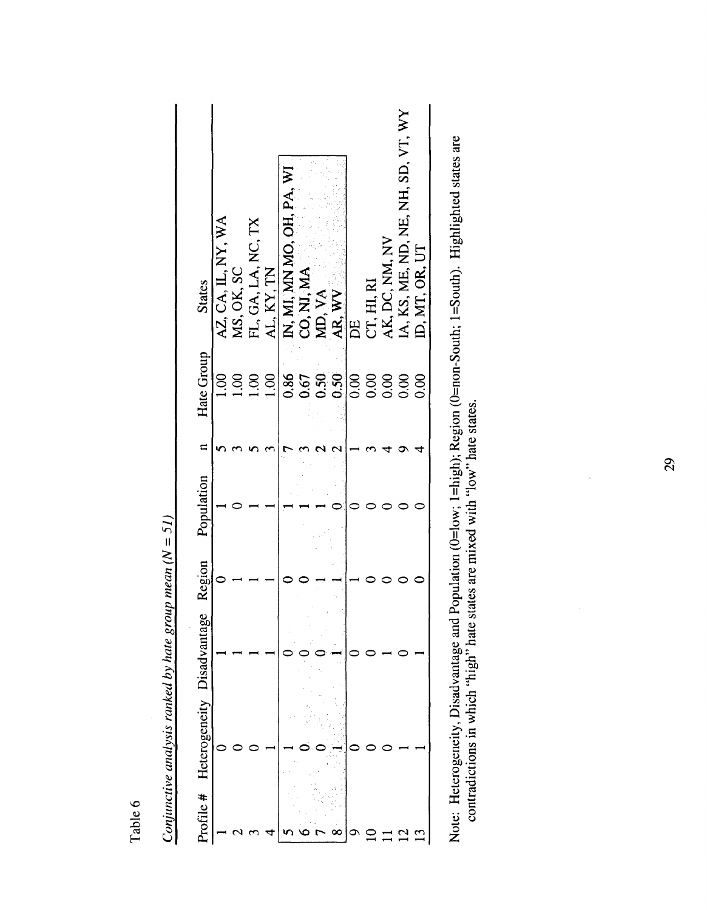| Profile # | Heterogeneity Disadvanta | ge Region | Population | $\blacksquare$ | Hate Group          | <b>States</b>                                                                                    |
|-----------|--------------------------|-----------|------------|----------------|---------------------|--------------------------------------------------------------------------------------------------|
|           |                          |           |            |                | $\overline{0}0$     |                                                                                                  |
|           |                          |           |            |                |                     |                                                                                                  |
|           |                          |           |            |                | $\frac{00}{100}$    |                                                                                                  |
|           |                          |           |            |                | 1.00                | AZ, CA, IL, NY, WA<br>MS, OK, SC<br>FL, GA, LA, NC, TX<br>AL, KY, TN                             |
|           |                          |           |            |                |                     | N, MI, MN MO, OH, PA, WI<br>CO, NJ, MA<br>MD, VA<br>AR, WV<br>DE<br>CT, HI, RI<br>AK, DC, NM, NV |
|           |                          |           |            |                |                     |                                                                                                  |
|           |                          |           |            |                |                     |                                                                                                  |
|           |                          |           |            |                | 867<br>0.50<br>0.50 |                                                                                                  |
|           |                          |           |            |                | 888                 |                                                                                                  |
|           |                          |           |            |                |                     |                                                                                                  |
|           |                          |           |            |                |                     |                                                                                                  |
|           |                          |           |            |                | 0.000               |                                                                                                  |
|           |                          |           |            |                |                     | IA, KS, ME, ND, NE, NH, SD, VT, WY<br>ID, MT, OR, UT                                             |

*Conjunctive analysis ranked by hate group mean (N* = *51)*  Conjunctive analysis ranked by hate group mean  $(N = 51)$  Note: Heterogeneity, Disadvantage and Population (0=low; 1=high); Region (0=non-South; 1=South). Highlighted states are contradictions in which "hate states are mixed with "low" hate states. Note: Heterogeneity, Disadvantage and Population (0=low; l=high); Region (0=non-South; l=South). Highlighted states are contradictions in which "high" hate states are mixed with "low" hate states.

# Table 6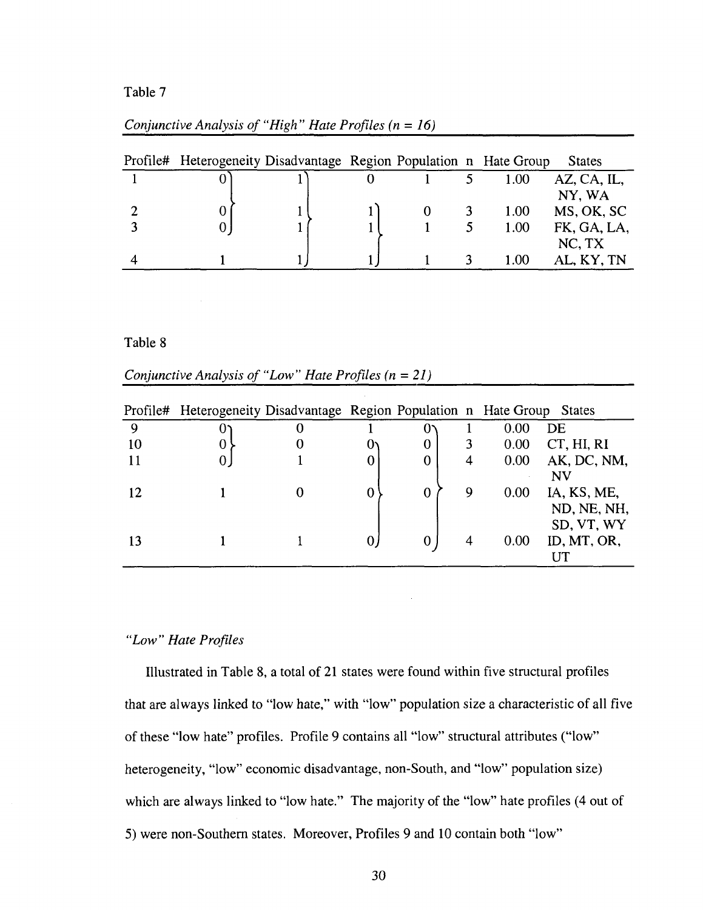#### Table 7

| Profile# Heterogeneity Disadvantage Region Population n Hate Group |  |  |      | <b>States</b> |
|--------------------------------------------------------------------|--|--|------|---------------|
|                                                                    |  |  | 1.00 | AZ, CA, IL,   |
|                                                                    |  |  |      | NY, WA        |
|                                                                    |  |  | 1.00 | MS, OK, SC    |
|                                                                    |  |  | 1.00 | FK, GA, LA,   |
|                                                                    |  |  |      | NC, TX        |
|                                                                    |  |  | 1.00 | AL, KY, TN    |

#### *Conjunctive Analysis of "High" Hate Profiles (n = 16)*

Table 8

|  | Conjunctive Analysis of "Low" Hate Profiles $(n = 21)$ |  |
|--|--------------------------------------------------------|--|
|  |                                                        |  |

|    | Profile# Heterogeneity Disadvantage Region Population n Hate Group States |   |             |   |      |             |
|----|---------------------------------------------------------------------------|---|-------------|---|------|-------------|
| 9  | 0.                                                                        |   | O.          |   | 0.00 | DE          |
| 10 | 0                                                                         |   | $\bf{0}$    |   | 0.00 | CT, HI, RI  |
|    | 0                                                                         | 0 | $\mathbf 0$ | 4 | 0.00 | AK, DC, NM, |
|    |                                                                           |   |             |   |      | NV          |
| 12 |                                                                           | 0 | $\mathbf 0$ | 9 | 0.00 | IA, KS, ME, |
|    |                                                                           |   |             |   |      | ND, NE, NH, |
|    |                                                                           |   |             |   |      | SD, VT, WY  |
|    |                                                                           | 0 | 0           | 4 | 0.00 | ID, MT, OR, |
|    |                                                                           |   |             |   |      |             |

J.

### *"Low" Hate Profiles*

Illustrated in Table 8, a total of 21 states were found within five structural profiles that are always linked to "low hate," with "low" population size a characteristic of all five of these "low hate" profiles. Profile 9 contains all "low" structural attributes ("low" heterogeneity, "low" economic disadvantage, non-South, and "low" population size) which are always linked to "low hate." The majority of the "low" hate profiles (4 out of 5) were non-Southern states. Moreover, Profiles 9 and 10 contain both "low"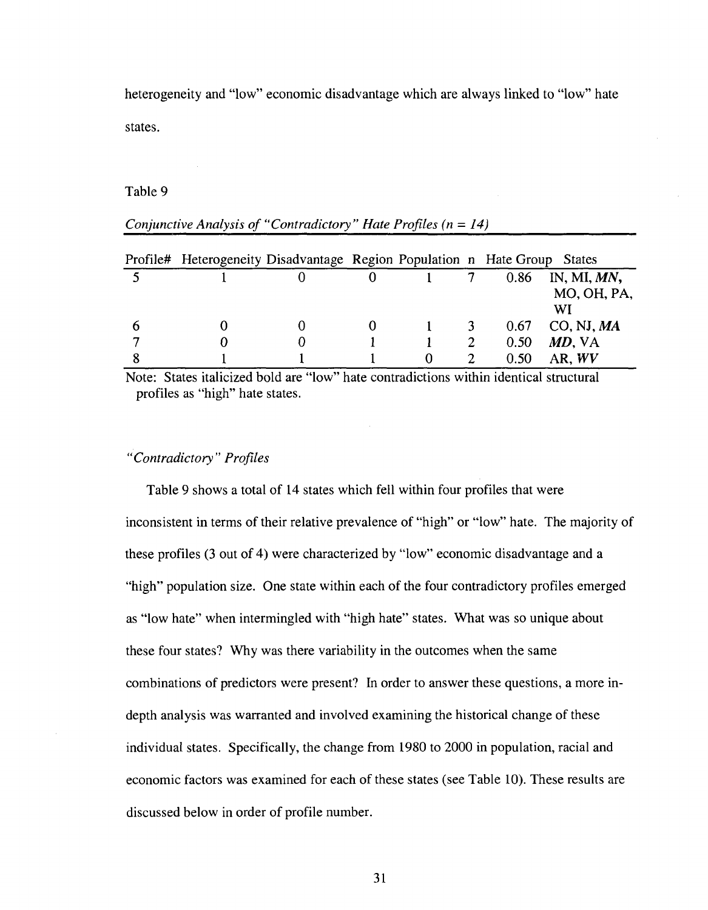heterogeneity and "low" economic disadvantage which are always linked to "low" hate states.

#### Table 9

|              | Profile# Heterogeneity Disadvantage Region Population n Hate Group States |   |          |      |                |
|--------------|---------------------------------------------------------------------------|---|----------|------|----------------|
|              |                                                                           |   |          | 0.86 | IN, MI, $MN$ , |
|              |                                                                           |   |          |      | MO, OH, PA,    |
|              |                                                                           |   |          |      | WI             |
| <sub>0</sub> |                                                                           | 0 |          | 0.67 | CO, NJ, MA     |
| −            |                                                                           |   |          | 0.50 | MD, VA         |
|              |                                                                           |   | $\Omega$ | 0.50 | AR, WV         |

## *Conjunctive Analysis of "Contradictory" Hate Profiles (n = 14)*

Note: States italicized bold are "low" hate contradictions within identical structural profiles as "high" hate states.

#### *"Contradictory" Profiles*

Table 9 shows a total of 14 states which fell within four profiles that were inconsistent in terms of their relative prevalence of "high" or "low" hate. The majority of these profiles (3 out of 4) were characterized by "low" economic disadvantage and a "high" population size. One state within each of the four contradictory profiles emerged as "low hate" when intermingled with "high hate" states. What was so unique about these four states? Why was there variability in the outcomes when the same combinations of predictors were present? In order to answer these questions, a more indepth analysis was warranted and involved examining the historical change of these individual states. Specifically, the change from 1980 to 2000 in population, racial and economic factors was examined for each of these states (see Table 10). These results are discussed below in order of profile number.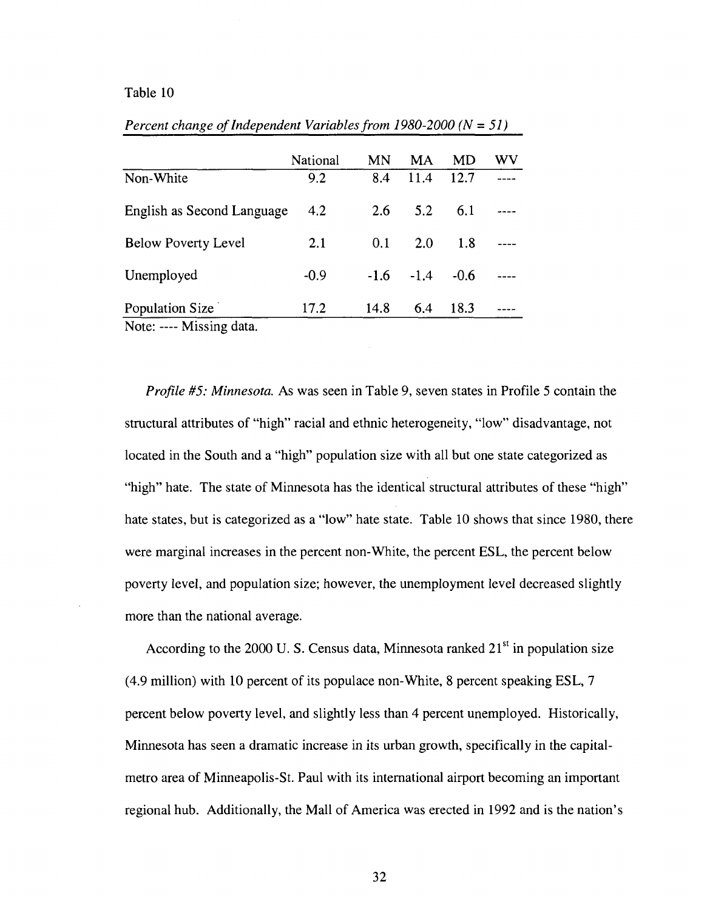#### Table 10

|                                       | National | MN     | MA     | MD     | WV |
|---------------------------------------|----------|--------|--------|--------|----|
| Non-White                             | 9.2      | 8.4    | 11.4   | 12.7   |    |
| English as Second Language            | 4.2      | 2.6    | 5.2    | 6.1    |    |
| <b>Below Poverty Level</b>            | 2.1      | 0.1    | 2.0    | 1.8    |    |
| Unemployed                            | $-0.9$   | $-1.6$ | $-1.4$ | $-0.6$ |    |
| Population Size<br>Nota: Missing data | 17.2     | 14.8   | 6.4    | 18.3   |    |

*Percent change of Independent Variables from 1980-2000 (N = 51)* 

Note: ---- Missing data. Note: — Missing data.

*Profile #5: Minnesota.* As was seen in Table 9, seven states in Profile 5 contain the structural attributes of "high" racial and ethnic heterogeneity, "low" disadvantage, not located in the South and a "high" population size with all but one state categorized as "high" hate. The state of Minnesota has the identical structural attributes of these "high" hate states, but is categorized as a "low" hate state. Table 10 shows that since 1980, there were marginal increases in the percent non-White, the percent ESL, the percent below poverty level, and population size; however, the unemployment level decreased slightly more than the national average.

According to the 2000 U.S. Census data, Minnesota ranked  $21<sup>st</sup>$  in population size (4.9 million) with 10 percent of its populace non-White, 8 percent speaking ESL, 7 percent below poverty level, and slightly less than 4 percent unemployed. Historically, Minnesota has seen a dramatic increase in its urban growth, specifically in the capitalmetro area of Minneapolis-St. Paul with its international airport becoming an important regional hub. Additionally, the Mall of America was erected in 1992 and is the nation's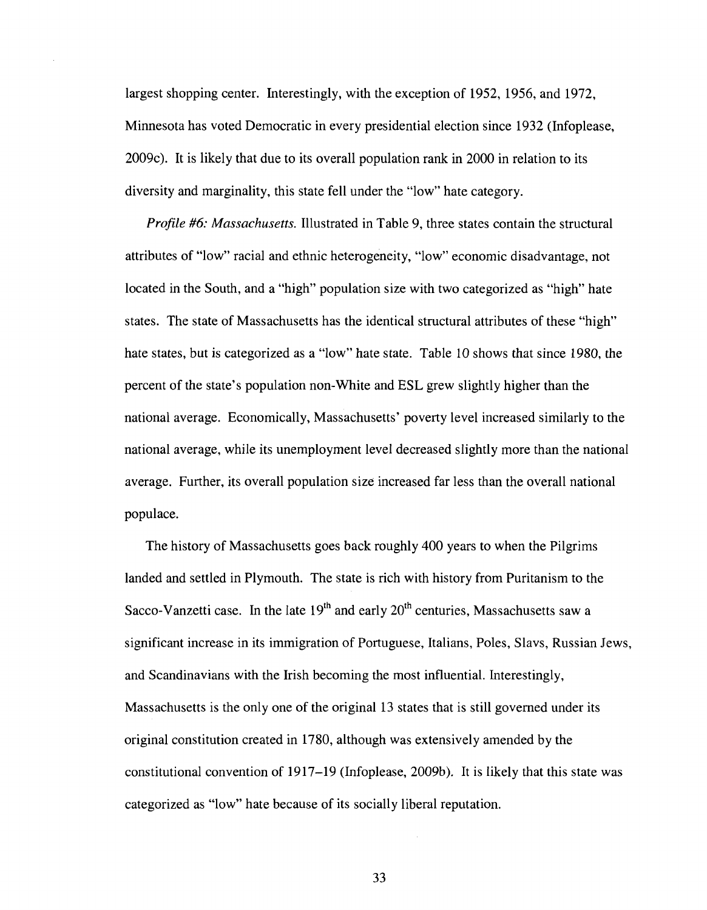largest shopping center. Interestingly, with the exception of 1952, 1956, and 1972, Minnesota has voted Democratic in every presidential election since 1932 (Infoplease, 2009c). It is likely that due to its overall population rank in 2000 in relation to its diversity and marginality, this state fell under the "low" hate category.

*Profile #6: Massachusetts.* Illustrated in Table 9, three states contain the structural attributes of "low" racial and ethnic heterogeneity, "low" economic disadvantage, not located in the South, and a "high" population size with two categorized as "high" hate states. The state of Massachusetts has the identical structural attributes of these "high" hate states, but is categorized as a "low" hate state. Table 10 shows that since 1980, the percent of the state's population non-White and ESL grew slightly higher than the national average. Economically, Massachusetts' poverty level increased similarly to the national average, while its unemployment level decreased slightly more than the national average. Further, its overall population size increased far less than the overall national populace.

The history of Massachusetts goes back roughly 400 years to when the Pilgrims landed and settled in Plymouth. The state is rich with history from Puritanism to the Sacco-Vanzetti case. In the late  $19<sup>th</sup>$  and early  $20<sup>th</sup>$  centuries, Massachusetts saw a significant increase in its immigration of Portuguese, Italians, Poles, Slavs, Russian Jews, and Scandinavians with the Irish becoming the most influential. Interestingly, Massachusetts is the only one of the original 13 states that is still governed under its original constitution created in 1780, although was extensively amended by the constitutional convention of 1917-19 (Infoplease, 2009b). It is likely that this state was categorized as "low" hate because of its socially liberal reputation.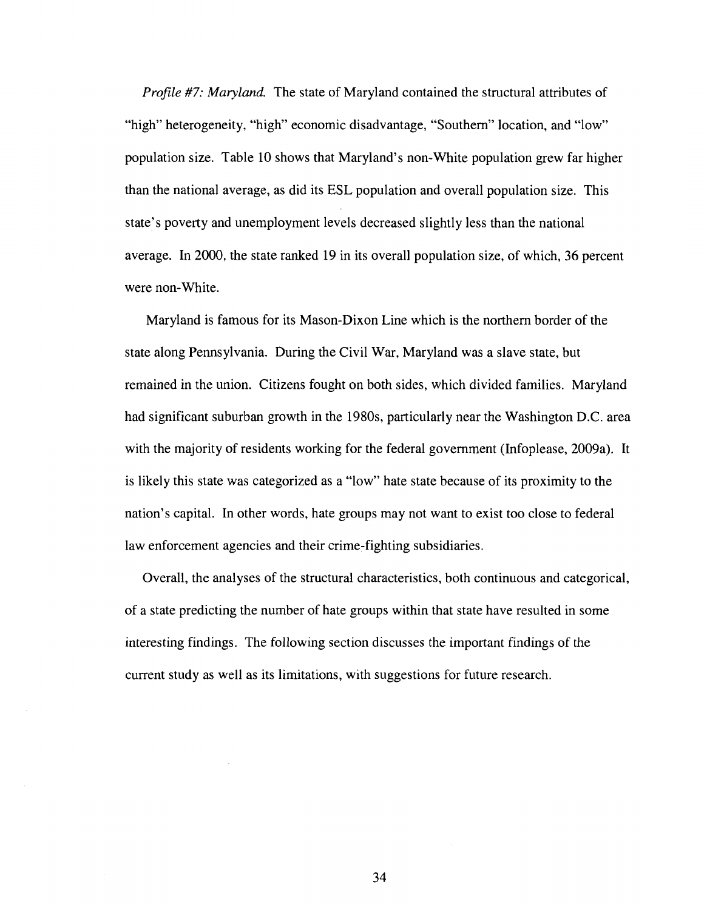*Profile* #7: *Maryland.* The state of Maryland contained the structural attributes of "high" heterogeneity, "high" economic disadvantage, "Southern" location, and "low" population size. Table 10 shows that Maryland's non-White population grew far higher than the national average, as did its ESL population and overall population size. This state's poverty and unemployment levels decreased slightly less than the national average. In 2000, the state ranked 19 in its overall population size, of which, 36 percent were non-White.

Maryland is famous for its Mason-Dixon Line which is the northern border of the state along Pennsylvania. During the Civil War, Maryland was a slave state, but remained in the union. Citizens fought on both sides, which divided families. Maryland had significant suburban growth in the 1980s, particularly near the Washington D.C. area with the majority of residents working for the federal government (Infoplease, 2009a). It is likely this state was categorized as a "low" hate state because of its proximity to the nation's capital. In other words, hate groups may not want to exist too close to federal law enforcement agencies and their crime-fighting subsidiaries.

Overall, the analyses of the structural characteristics, both continuous and categorical, of a state predicting the number of hate groups within that state have resulted in some interesting findings. The following section discusses the important findings of the current study as well as its limitations, with suggestions for future research.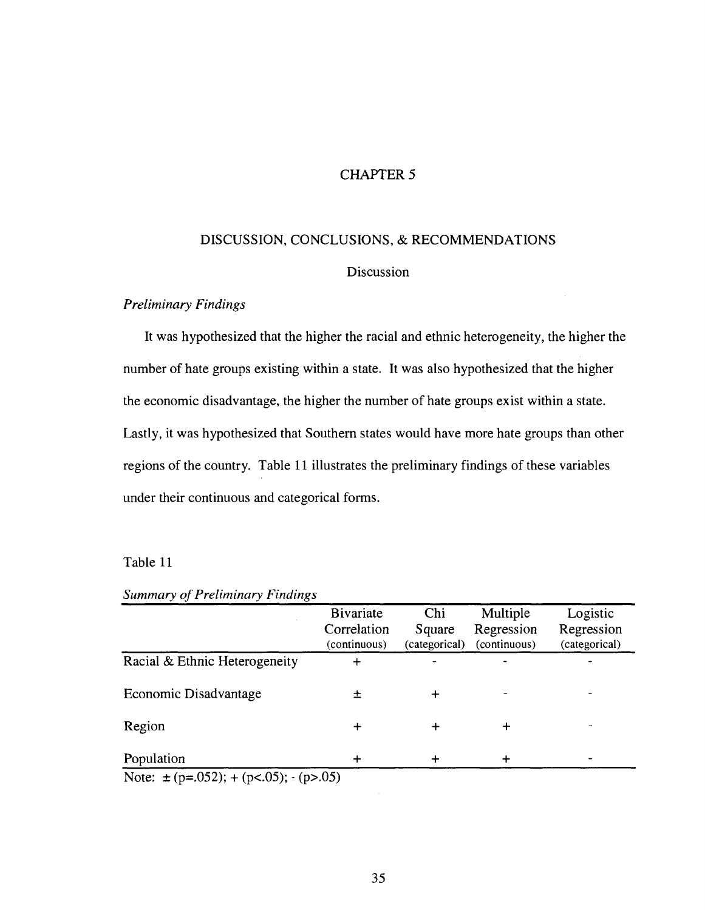#### CHAPTER 5

## DISCUSSION, CONCLUSIONS, & RECOMMENDATIONS

#### Discussion

#### *Preliminary Findings*

It was hypothesized that the higher the racial and ethnic heterogeneity, the higher the number of hate groups existing within a state. It was also hypothesized that the higher the economic disadvantage, the higher the number of hate groups exist within a state. Lastly, it was hypothesized that Southern states would have more hate groups than other regions of the country. Table 11 illustrates the preliminary findings of these variables under their continuous and categorical forms.

#### Table 11

|                                            | <b>Bivariate</b><br>Correlation<br>(continuous) | Chi<br>Square<br>(categorical) | Multiple<br>Regression<br>(continuous) | Logistic<br>Regression<br>(categorical) |
|--------------------------------------------|-------------------------------------------------|--------------------------------|----------------------------------------|-----------------------------------------|
| Racial & Ethnic Heterogeneity              | ┿                                               |                                |                                        |                                         |
| Economic Disadvantage                      | 士                                               |                                |                                        |                                         |
| Region                                     | ┿                                               |                                |                                        |                                         |
| Population                                 |                                                 |                                |                                        |                                         |
| Note: $\pm$ (p=.052); + (p<.05); - (p>.05) |                                                 |                                |                                        |                                         |

### *Summary of Preliminary Findings*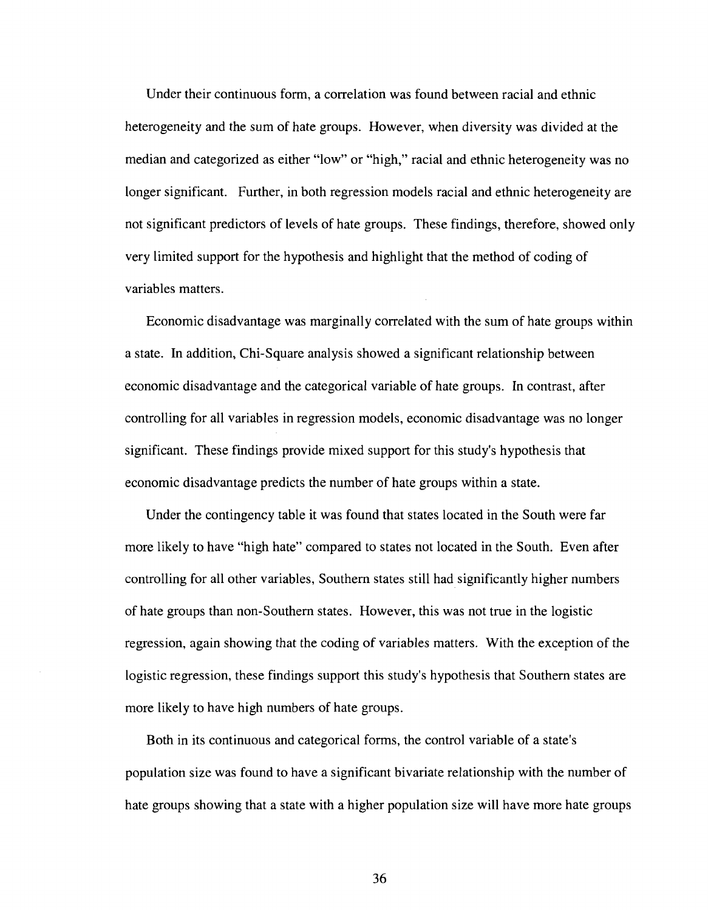Under their continuous form, a correlation was found between racial and ethnic heterogeneity and the sum of hate groups. However, when diversity was divided at the median and categorized as either "low" or "high," racial and ethnic heterogeneity was no longer significant. Further, in both regression models racial and ethnic heterogeneity are not significant predictors of levels of hate groups. These findings, therefore, showed only very limited support for the hypothesis and highlight that the method of coding of variables matters.

Economic disadvantage was marginally correlated with the sum of hate groups within a state. In addition, Chi-Square analysis showed a significant relationship between economic disadvantage and the categorical variable of hate groups. In contrast, after controlling for all variables in regression models, economic disadvantage was no longer significant. These findings provide mixed support for this study's hypothesis that economic disadvantage predicts the number of hate groups within a state.

Under the contingency table it was found that states located in the South were far more likely to have "high hate" compared to states not located in the South. Even after controlling for all other variables, Southern states still had significantly higher numbers of hate groups than non-Southern states. However, this was not true in the logistic regression, again showing that the coding of variables matters. With the exception of the logistic regression, these findings support this study's hypothesis that Southern states are more likely to have high numbers of hate groups.

Both in its continuous and categorical forms, the control variable of a state's population size was found to have a significant bivariate relationship with the number of hate groups showing that a state with a higher population size will have more hate groups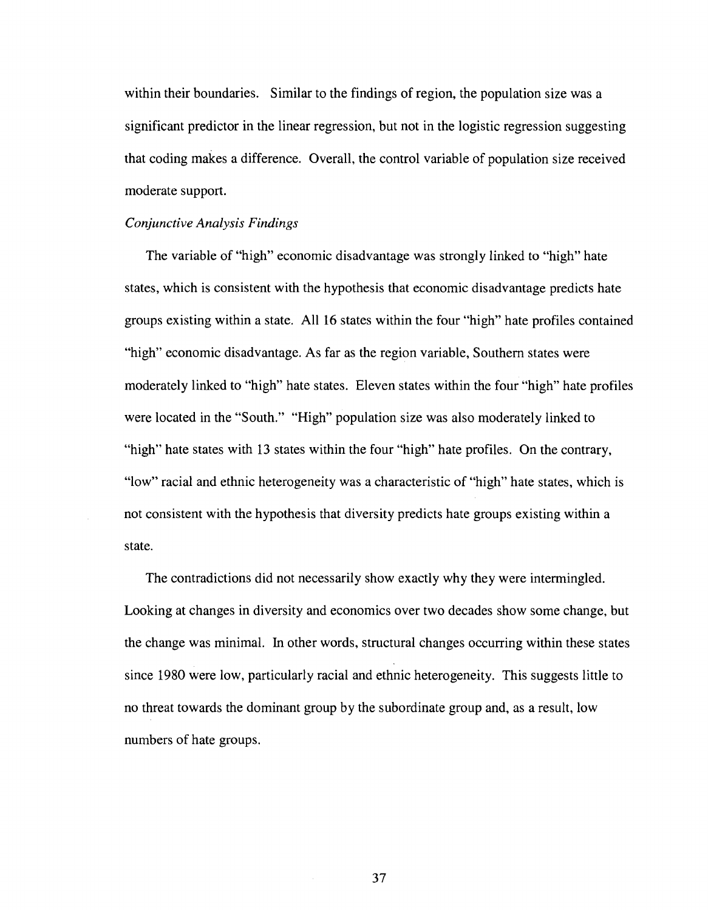within their boundaries. Similar to the findings of region, the population size was a significant predictor in the linear regression, but not in the logistic regression suggesting that coding makes a difference. Overall, the control variable of population size received moderate support.

#### *Conjunctive Analysis Findings*

The variable of "high" economic disadvantage was strongly linked to "high" hate states, which is consistent with the hypothesis that economic disadvantage predicts hate groups existing within a state. All 16 states within the four "high" hate profiles contained "high" economic disadvantage. As far as the region variable, Southern states were moderately linked to "high" hate states. Eleven states within the four "high" hate profiles were located in the "South." "High" population size was also moderately linked to "high" hate states with 13 states within the four "high" hate profiles. On the contrary, "low" racial and ethnic heterogeneity was a characteristic of "high" hate states, which is not consistent with the hypothesis that diversity predicts hate groups existing within a state.

The contradictions did not necessarily show exactly why they were intermingled. Looking at changes in diversity and economics over two decades show some change, but the change was minimal. In other words, structural changes occurring within these states since 1980 were low, particularly racial and ethnic heterogeneity. This suggests little to no threat towards the dominant group by the subordinate group and, as a result, low numbers of hate groups.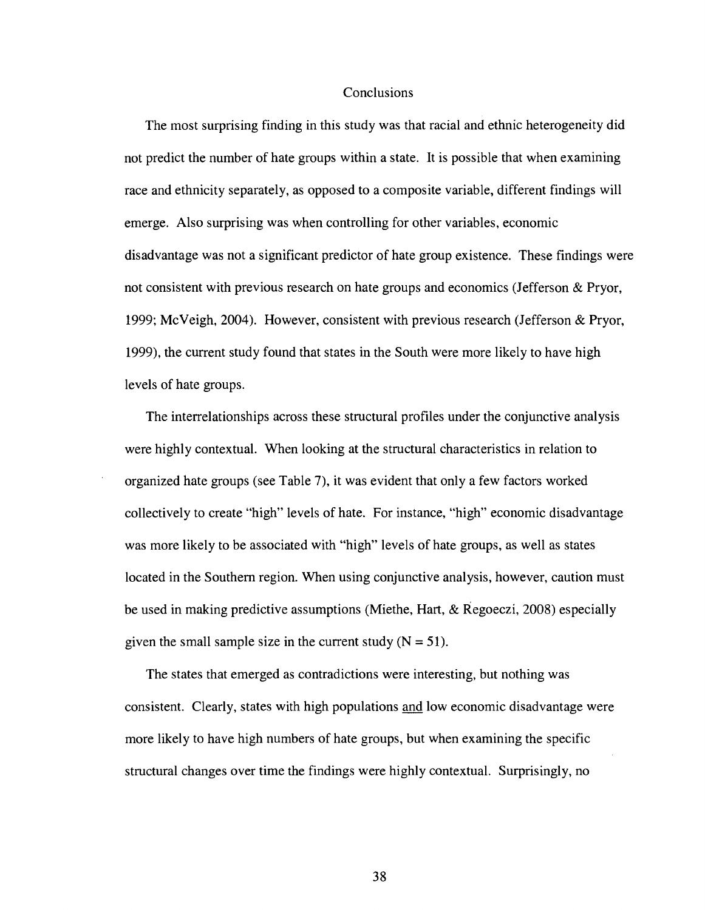#### Conclusions

The most surprising finding in this study was that racial and ethnic heterogeneity did not predict the number of hate groups within a state. It is possible that when examining race and ethnicity separately, as opposed to a composite variable, different findings will emerge. Also surprising was when controlling for other variables, economic disadvantage was not a significant predictor of hate group existence. These findings were not consistent with previous research on hate groups and economics (Jefferson & Pryor, 1999; McVeigh, 2004). However, consistent with previous research (Jefferson & Pryor, 1999), the current study found that states in the South were more likely to have high levels of hate groups.

The interrelationships across these structural profiles under the conjunctive analysis were highly contextual. When looking at the structural characteristics in relation to organized hate groups (see Table 7), it was evident that only a few factors worked collectively to create "high" levels of hate. For instance, "high" economic disadvantage was more likely to be associated with "high" levels of hate groups, as well as states located in the Southern region. When using conjunctive analysis, however, caution must be used in making predictive assumptions (Miethe, Hart, & Regoeczi, 2008) especially given the small sample size in the current study  $(N = 51)$ .

The states that emerged as contradictions were interesting, but nothing was consistent. Clearly, states with high populations and low economic disadvantage were more likely to have high numbers of hate groups, but when examining the specific structural changes over time the findings were highly contextual. Surprisingly, no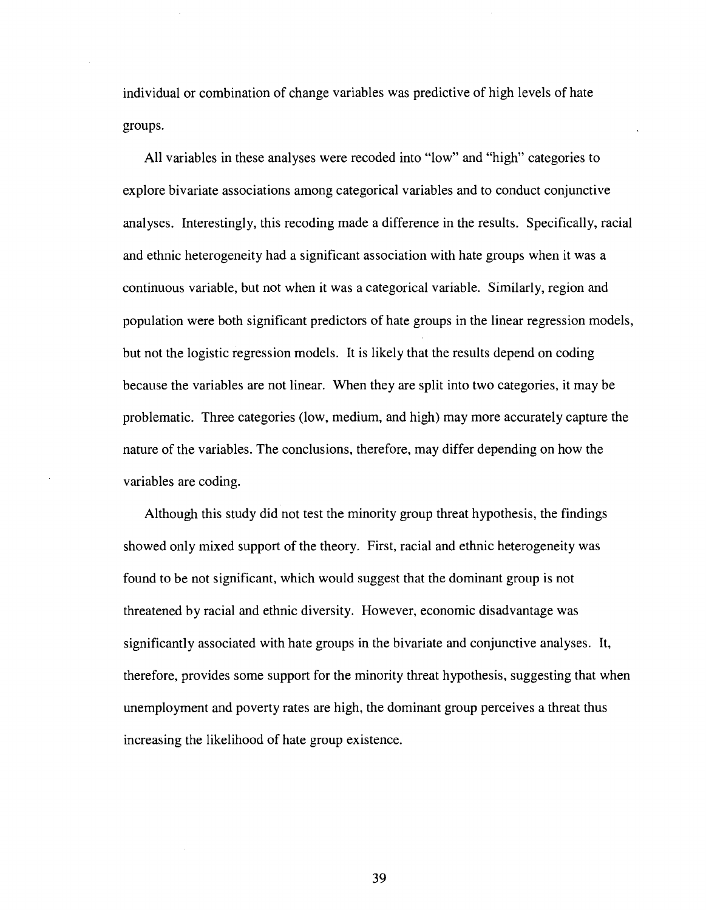individual or combination of change variables was predictive of high levels of hate groups.

All variables in these analyses were recoded into "low" and "high" categories to explore bivariate associations among categorical variables and to conduct conjunctive analyses. Interestingly, this recoding made a difference in the results. Specifically, racial and ethnic heterogeneity had a significant association with hate groups when it was a continuous variable, but not when it was a categorical variable. Similarly, region and population were both significant predictors of hate groups in the linear regression models, but not the logistic regression models. It is likely that the results depend on coding because the variables are not linear. When they are split into two categories, it may be problematic. Three categories (low, medium, and high) may more accurately capture the nature of the variables. The conclusions, therefore, may differ depending on how the variables are coding.

Although this study did not test the minority group threat hypothesis, the findings showed only mixed support of the theory. First, racial and ethnic heterogeneity was found to be not significant, which would suggest that the dominant group is not threatened by racial and ethnic diversity. However, economic disadvantage was significantly associated with hate groups in the bivariate and conjunctive analyses. It, therefore, provides some support for the minority threat hypothesis, suggesting that when unemployment and poverty rates are high, the dominant group perceives a threat thus increasing the likelihood of hate group existence.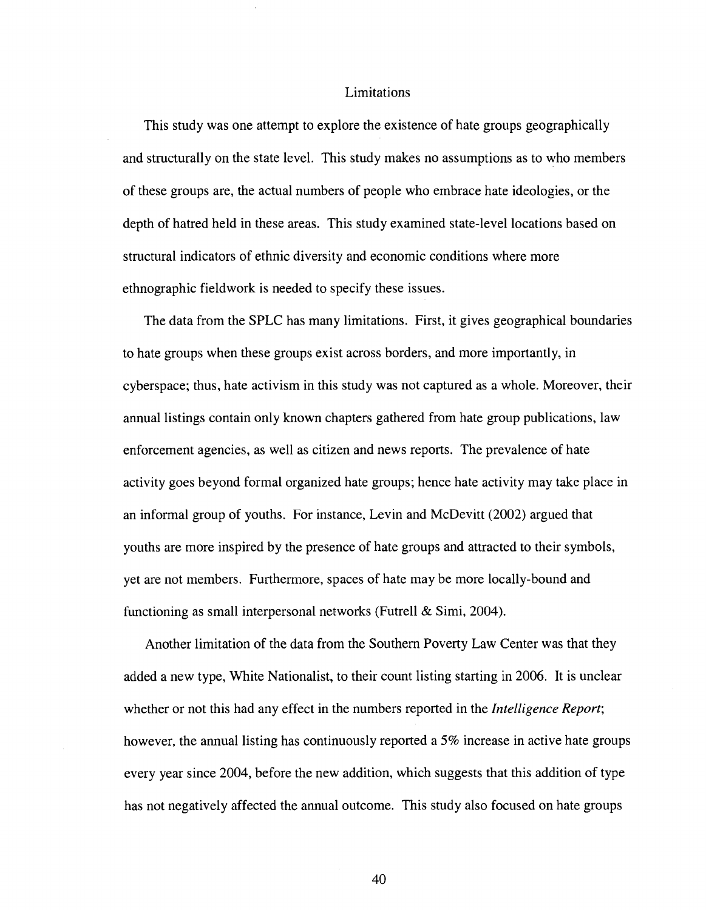#### Limitations

This study was one attempt to explore the existence of hate groups geographically and structurally on the state level. This study makes no assumptions as to who members of these groups are, the actual numbers of people who embrace hate ideologies, or the depth of hatred held in these areas. This study examined state-level locations based on structural indicators of ethnic diversity and economic conditions where more ethnographic fieldwork is needed to specify these issues.

The data from the SPLC has many limitations. First, it gives geographical boundaries to hate groups when these groups exist across borders, and more importantly, in cyberspace; thus, hate activism in this study was not captured as a whole. Moreover, their annual listings contain only known chapters gathered from hate group publications, law enforcement agencies, as well as citizen and news reports. The prevalence of hate activity goes beyond formal organized hate groups; hence hate activity may take place in an informal group of youths. For instance, Levin and McDevitt (2002) argued that youths are more inspired by the presence of hate groups and attracted to their symbols, yet are not members. Furthermore, spaces of hate may be more locally-bound and functioning as small interpersonal networks (Futrell & Simi, 2004).

Another limitation of the data from the Southern Poverty Law Center was that they added a new type, White Nationalist, to their count listing starting in 2006. It is unclear whether or not this had any effect in the numbers reported in the *Intelligence Report*; however, the annual listing has continuously reported a 5% increase in active hate groups every year since 2004, before the new addition, which suggests that this addition of type has not negatively affected the annual outcome. This study also focused on hate groups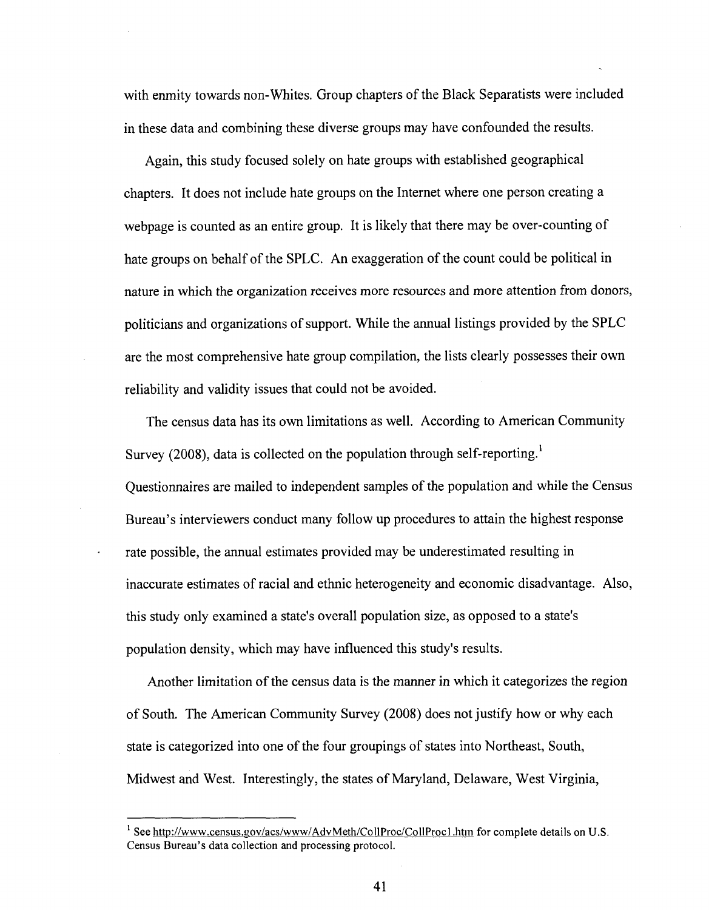with enmity towards non-Whites. Group chapters of the Black Separatists were included in these data and combining these diverse groups may have confounded the results.

Again, this study focused solely on hate groups with established geographical chapters. It does not include hate groups on the Internet where one person creating a webpage is counted as an entire group. It is likely that there may be over-counting of hate groups on behalf of the SPLC. An exaggeration of the count could be political in nature in which the organization receives more resources and more attention from donors, politicians and organizations of support. While the annual listings provided by the SPLC are the most comprehensive hate group compilation, the lists clearly possesses their own reliability and validity issues that could not be avoided.

The census data has its own limitations as well. According to American Community Survey (2008), data is collected on the population through self-reporting.<sup>1</sup> Questionnaires are mailed to independent samples of the population and while the Census Bureau's interviewers conduct many follow up procedures to attain the highest response rate possible, the annual estimates provided may be underestimated resulting in inaccurate estimates of racial and ethnic heterogeneity and economic disadvantage. Also, this study only examined a state's overall population size, as opposed to a state's population density, which may have influenced this study's results.

Another limitation of the census data is the manner in which it categorizes the region of South. The American Community Survey (2008) does not justify how or why each state is categorized into one of the four groupings of states into Northeast, South, Midwest and West. Interestingly, the states of Maryland, Delaware, West Virginia,

<sup>&</sup>lt;sup>1</sup> See http://www.census.gov/acs/www/AdvMeth/CollProc/CollProc1.htm for complete details on U.S. Census Bureau's data collection and processing protocol.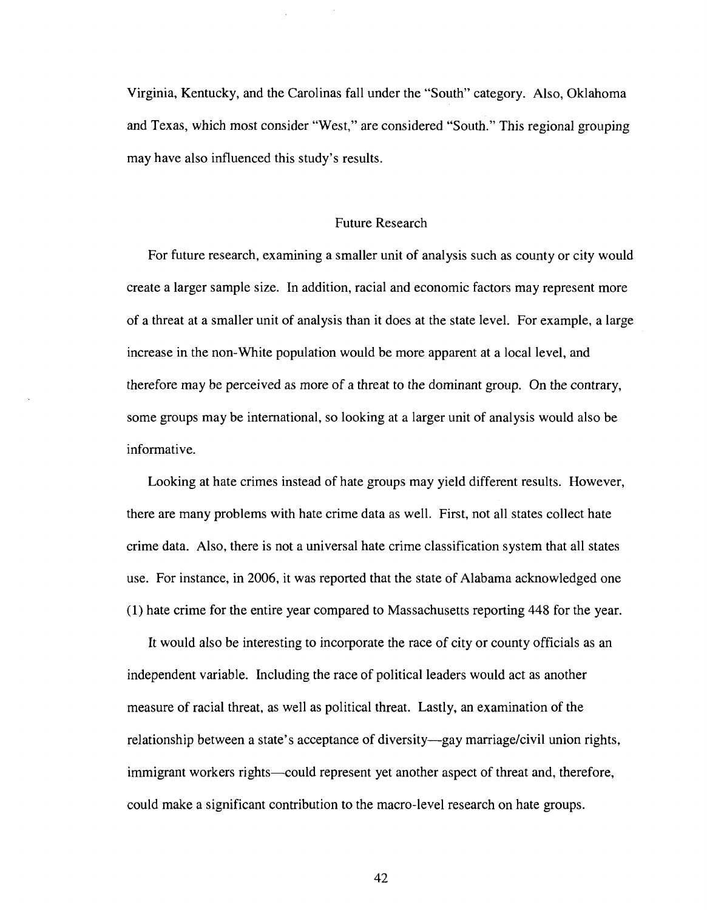Virginia, Kentucky, and the Carolinas fall under the "South" category. Also, Oklahoma and Texas, which most consider "West," are considered "South." This regional grouping may have also influenced this study's results.

#### Future Research

For future research, examining a smaller unit of analysis such as county or city would create a larger sample size. In addition, racial and economic factors may represent more of a threat at a smaller unit of analysis than it does at the state level. For example, a large increase in the non-White population would be more apparent at a local level, and therefore may be perceived as more of a threat to the dominant group. On the contrary, some groups may be international, so looking at a larger unit of analysis would also be informative.

Looking at hate crimes instead of hate groups may yield different results. However, there are many problems with hate crime data as well. First, not all states collect hate crime data. Also, there is not a universal hate crime classification system that all states use. For instance, in 2006, it was reported that the state of Alabama acknowledged one (1) hate crime for the entire year compared to Massachusetts reporting 448 for the year.

It would also be interesting to incorporate the race of city or county officials as an independent variable. Including the race of political leaders would act as another measure of racial threat, as well as political threat. Lastly, an examination of the relationship between a state's acceptance of diversity—gay marriage/civil union rights, immigrant workers rights—could represent yet another aspect of threat and, therefore, could make a significant contribution to the macro-level research on hate groups.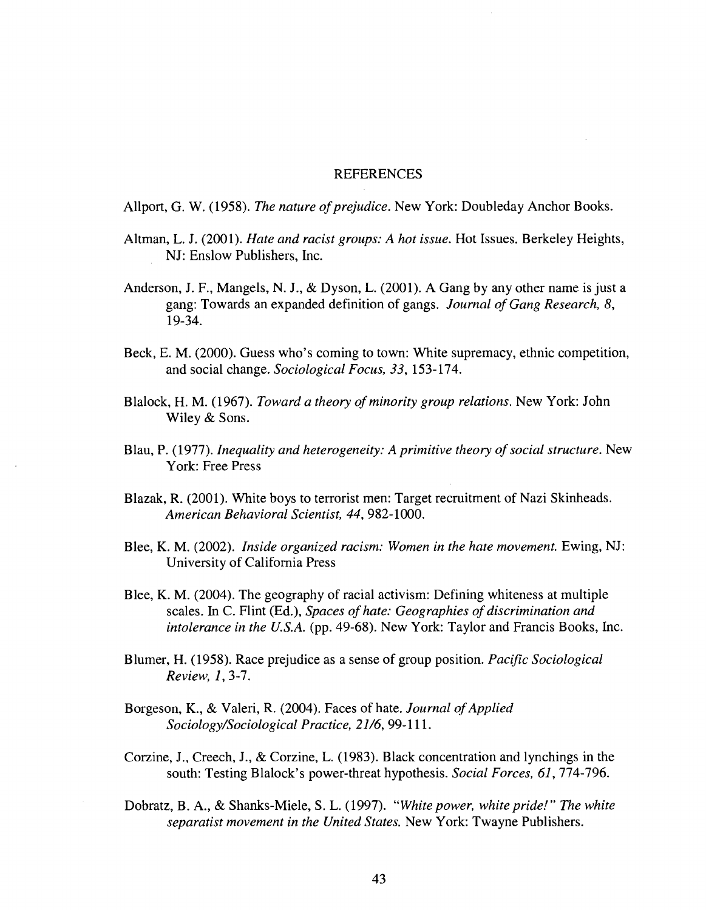#### **REFERENCES**

Allport, G. W. (1958). *The nature of prejudice.* New York: Doubleday Anchor Books.

- Altman, L. J. (2001). *Hate and racist groups: A hot issue.* Hot Issues. Berkeley Heights, NJ: Enslow Publishers, Inc.
- Anderson, J. F., Mangels, N. J., & Dyson, L. (2001). A Gang by any other name is just a gang: Towards an expanded definition of gangs. *Journal of Gang Research, 8,*  19-34.
- Beck, E. M. (2000). Guess who's coming to town: White supremacy, ethnic competition, and social change. *Sociological Focus, 33,* 153-174.
- Blalock, H. M. (1967). *Toward a theory of minority group relations.* New York: John Wiley & Sons.
- Blau, P. (1977). *Inequality and heterogeneity: A primitive theory of social structure.* New York: Free Press
- Blazak, R. (2001). White boys to terrorist men: Target recruitment of Nazi Skinheads. *American Behavioral Scientist, 44,* 982-1000.
- Blee, K. M. (2002). *Inside organized racism: Women in the hate movement.* Ewing, NJ: University of California Press
- Blee, K. M. (2004). The geography of racial activism: Defining whiteness at multiple scales. In C. Flint (Ed.), *Spaces of hate: Geographies of discrimination and intolerance in the U.S.A.* (pp. 49-68). New York: Taylor and Francis Books, Inc.
- Blumer, H. (1958). Race prejudice as a sense of group position. *Pacific Sociological Review, 1,3-1.*
- Borgeson, K., & Valeri, R. (2004). Faces of hate. *Journal of Applied Sociology/Sociological Practice, 21/6,* 99-111.
- Corzine, J., Creech, J., & Corzine, L. (1983). Black concentration and lynchings in the south: Testing Blalock's power-threat hypothesis. *Social Forces, 61,* 774-796.
- Dobratz, B. A., & Shanks-Miele, S. L. (1997). *"White power, white pride!" The white separatist movement in the United States.* New York: Twayne Publishers.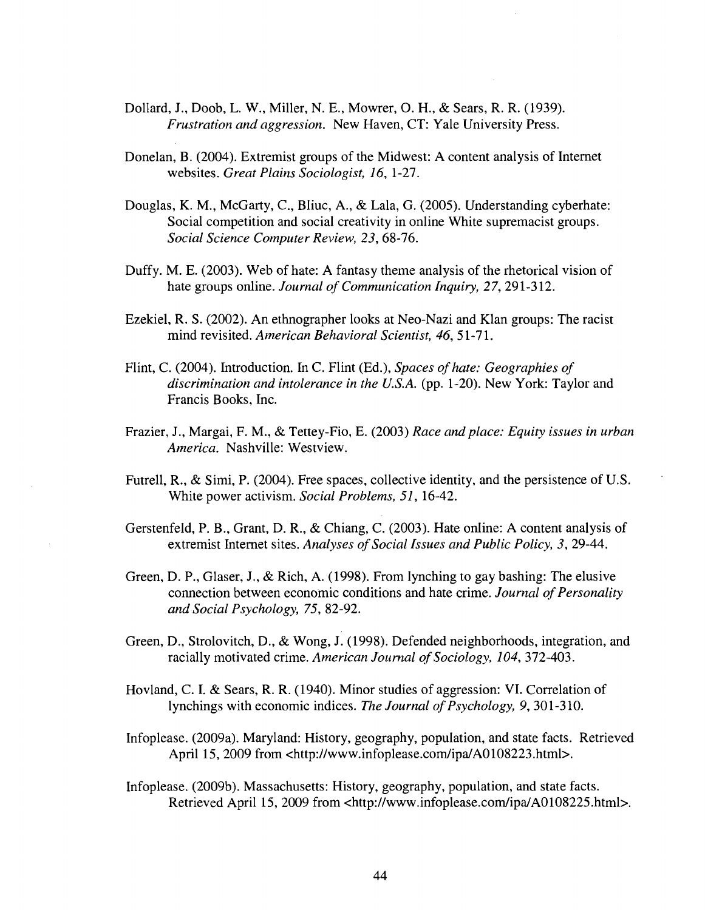- Dollard, J., Doob, L. W., Miller, N. E., Mowrer, O. H., & Sears, R. R. (1939). *Frustration and aggression.* New Haven, CT: Yale University Press.
- Donelan, B. (2004). Extremist groups of the Midwest: A content analysis of Internet websites. *Great Plains Sociologist, 16,* 1-27.
- Douglas, K. M., McGarty, C, Bliuc, A., & Lala, G. (2005). Understanding cyberhate: Social competition and social creativity in online White supremacist groups. *Social Science Computer Review, 23,* 68-76.
- Duffy. M. E. (2003). Web of hate: A fantasy theme analysis of the rhetorical vision of hate groups online. *Journal of Communication Inquiry, 27,* 291-312.
- Ezekiel, R. S. (2002). An ethnographer looks at Neo-Nazi and Klan groups: The racist mind revisited. *American Behavioral Scientist, 46,* 51-71.
- Flint, C. (2004). Introduction. In C. Flint (Ed.), *Spaces of hate: Geographies of discrimination and intolerance in the U.S.A.* (pp. 1-20). New York: Taylor and Francis Books, Inc.
- Frazier, J., Margai, F. M., & Tettey-Fio, E. (2003) *Race and place: Equity issues in urban America.* Nashville: Westview.
- Futrell, R., & Simi, P. (2004). Free spaces, collective identity, and the persistence of U.S. White power activism. *Social Problems, 51,* 16-42.
- Gerstenfeld, P. B., Grant, D. R., & Chiang, C. (2003). Hate online: A content analysis of extremist Internet sites. *Analyses of Social Issues and Public Policy, 3,* 29-44.
- Green, D. P., Glaser, J., & Rich, A. (1998). From lynching to gay bashing: The elusive connection between economic conditions and hate crime. *Journal of Personality and Social Psychology, 75,* 82-92.
- Green, D., Strolovitch, D., & Wong, J. (1998). Defended neighborhoods, integration, and racially motivated crime. *American Journal of Sociology, 104,* 372-403.
- Hovland, C. I. & Sears, R. R. (1940). Minor studies of aggression: VI. Correlation of lynchings with economic indices. *The Journal of Psychology, 9,* 301-310.
- Infoplease. (2009a). Maryland: History, geography, population, and state facts. Retrieved April 15, 2009 from <[http://www.infoplease.com/ipa/A0108223.html>.](http://www.infoplease.com/ipa/A0108223.html)
- Infoplease. (2009b). Massachusetts: History, geography, population, and state facts. Retrieved April 15, 2009 from <[http://www.infoplease.com/ipa/A0108225.html>](http://www.infoplease.com/ipa/A0108225.html).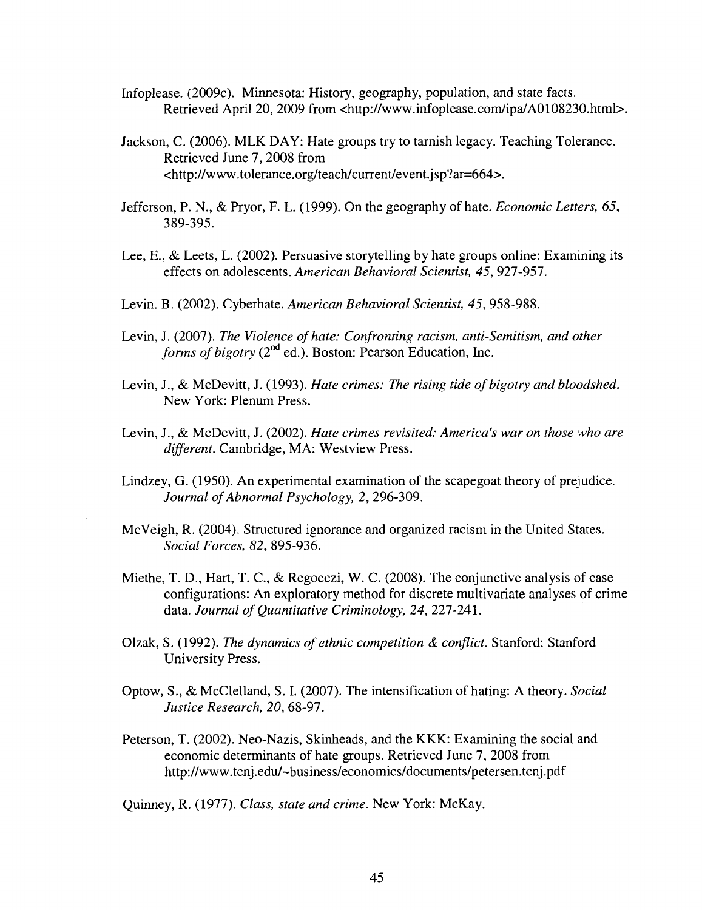- Infoplease. (2009c). Minnesota: History, geography, population, and state facts. Retrieved April 20, 2009 from <[http://www.infoplease.com/ipa/A0108230.html>](http://www.infoplease.com/ipa/A0108230.html).
- Jackson, C. (2006). MLK DAY: Hate groups try to tarnish legacy. Teaching Tolerance. Retrieved June 7, 2008 from <[http://www.tolerance.org/teach/current/event.jsp?ar=664>.](http://www.tolerance.org/teach/current/event.jsp?ar=664)
- Jefferson, P. N., & Pryor, F. L. (1999). On the geography of hate. *Economic Letters, 65,*  389-395.
- Lee, E., & Leets, L. (2002). Persuasive storytelling by hate groups online: Examining its effects on adolescents. *American Behavioral Scientist, 45,* 927-957.
- Levin. B. (2002). Cyberhate. *American Behavioral Scientist, 45,* 958-988.
- Levin, J. (2007). *The Violence of hate: Confronting racism, anti-Semitism, and other*  forms of bigotry (2<sup>nd</sup> ed.). Boston: Pearson Education, Inc.
- Levin, J., & McDevitt, J. (1993). *Hate crimes: The rising tide of bigotry and bloodshed.*  New York: Plenum Press.
- Levin, J., & McDevitt, J. (2002). *Hate crimes revisited: America's war on those who are different.* Cambridge, MA: Westview Press.
- Lindzey, G. (1950). An experimental examination of the scapegoat theory of prejudice. *Journal of Abnormal Psychology,* 2, 296-309.
- McVeigh, R. (2004). Structured ignorance and organized racism in the United States. *Social Forces, 82,* 895-936.
- Miethe, T. D., Hart, T. C, & Regoeczi, W. C. (2008). The conjunctive analysis of case configurations: An exploratory method for discrete multivariate analyses of crime data. *Journal of Quantitative Criminology, 24,* 227-241.
- Olzak, S. (1992). *The dynamics of ethnic competition & conflict.* Stanford: Stanford University Press.
- Optow, S., & McClelland, S. I. (2007). The intensification of hating: A theory. *Social Justice Research, 20,* 68-97.
- Peterson, T. (2002). Neo-Nazis, Skinheads, and the KKK: Examining the social and economic determinants of hate groups. Retrieved June 7, 2008 from <http://www.tcnj.edu/~business/economics/documents/petersen.tcnj.pdf>

Quinney, R. (1977). *Class, state and crime.* New York: McKay.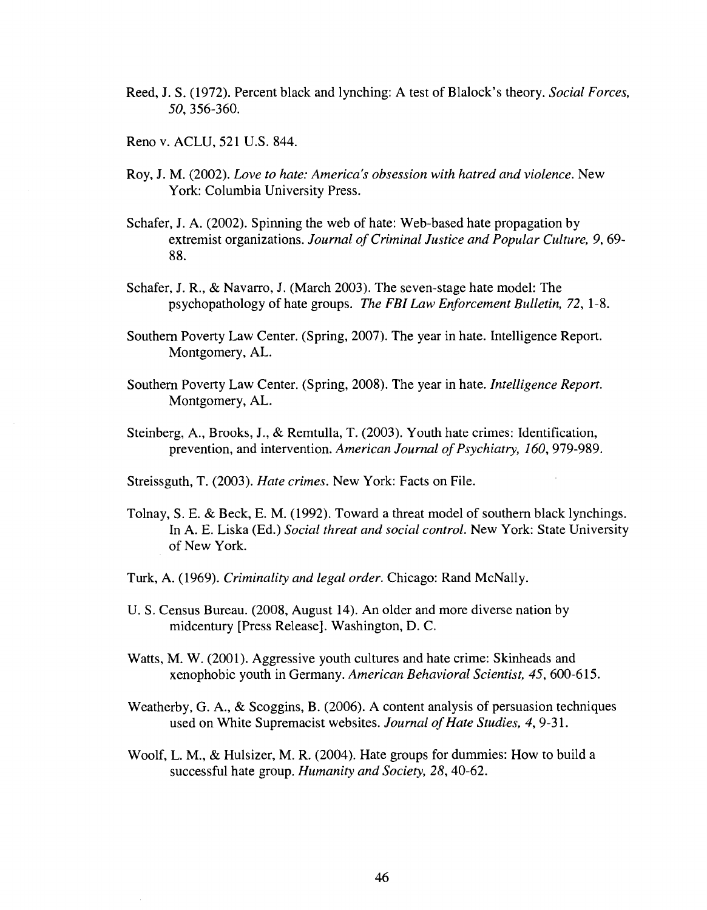- Reed, J. S. (1972). Percent black and lynching: A test of Blalock's theory. *Social Forces, 50,* 356-360.
- Reno v. ACLU, 521 U.S. 844.
- Roy, J. M. (2002). *Love to hate: America's obsession with hatred and violence.* New York: Columbia University Press.
- Schafer, J. A. (2002). Spinning the web of hate: Web-based hate propagation by extremist organizations. *Journal of Criminal Justice and Popular Culture, 9,* 69- 88.
- Schafer, J. R., & Navarro, J. (March 2003). The seven-stage hate model: The psychopathology of hate groups. *The FBI Law Enforcement Bulletin, 72,* 1-8.
- Southern Poverty Law Center. (Spring, 2007). The year in hate. Intelligence Report. Montgomery, AL.
- Southern Poverty Law Center. (Spring, 2008). The year in hate. *Intelligence Report.*  Montgomery, AL.
- Steinberg, A., Brooks, J., & Remtulla, T. (2003). Youth hate crimes: Identification, prevention, and intervention. *American Journal of Psychiatry, 160,* 979-989.
- Streissguth, T. (2003). *Hate crimes.* New York: Facts on File.
- Tolnay, S. E. & Beck, E. M. (1992). Toward a threat model of southern black lynchings. In A. E. Liska (Ed.) *Social threat and social control.* New York: State University of New York.
- Turk, A. (1969). *Criminality and legal order.* Chicago: Rand McNally.
- U. S. Census Bureau. (2008, August 14). An older and more diverse nation by midcentury [Press Release]. Washington, D. C.
- Watts, M. W. (2001). Aggressive youth cultures and hate crime: Skinheads and xenophobic youth in Germany. *American Behavioral Scientist, 45,* 600-615.
- Weatherby, G. A., & Scoggins, B. (2006). A content analysis of persuasion techniques used on White Supremacist websites. *Journal of Hate Studies, 4,* 9-31.
- Woolf, L. M., & Hulsizer, M. R. (2004). Hate groups for dummies: How to build a successful hate group. *Humanity and Society, 28,* 40-62.